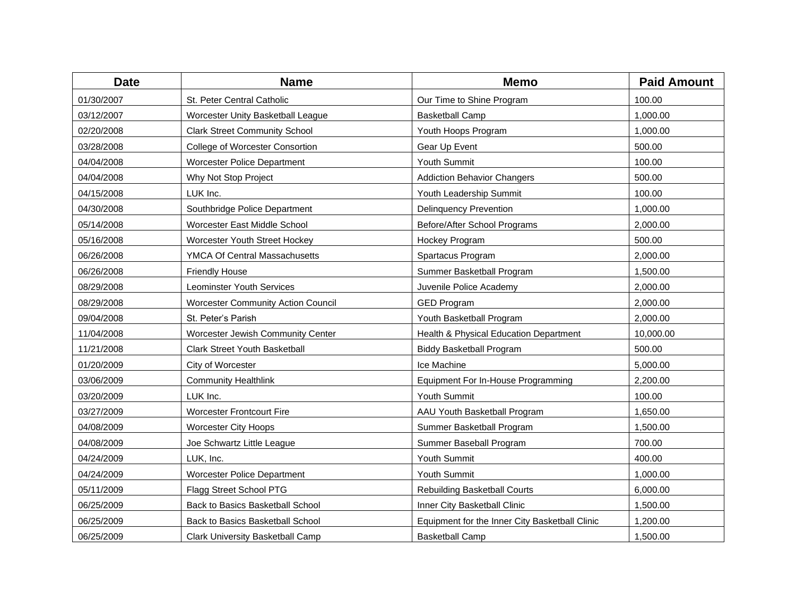| <b>Date</b> | <b>Name</b>                             | <b>Memo</b>                                    | <b>Paid Amount</b> |
|-------------|-----------------------------------------|------------------------------------------------|--------------------|
| 01/30/2007  | St. Peter Central Catholic              | Our Time to Shine Program                      | 100.00             |
| 03/12/2007  | Worcester Unity Basketball League       | <b>Basketball Camp</b>                         | 1,000.00           |
| 02/20/2008  | <b>Clark Street Community School</b>    | Youth Hoops Program                            | 1,000.00           |
| 03/28/2008  | College of Worcester Consortion         | Gear Up Event                                  | 500.00             |
| 04/04/2008  | <b>Worcester Police Department</b>      | Youth Summit                                   | 100.00             |
| 04/04/2008  | Why Not Stop Project                    | <b>Addiction Behavior Changers</b>             | 500.00             |
| 04/15/2008  | LUK Inc.                                | Youth Leadership Summit                        | 100.00             |
| 04/30/2008  | Southbridge Police Department           | <b>Delinquency Prevention</b>                  | 1,000.00           |
| 05/14/2008  | Worcester East Middle School            | Before/After School Programs                   | 2,000.00           |
| 05/16/2008  | Worcester Youth Street Hockey           | Hockey Program                                 | 500.00             |
| 06/26/2008  | YMCA Of Central Massachusetts           | Spartacus Program                              | 2,000.00           |
| 06/26/2008  | <b>Friendly House</b>                   | Summer Basketball Program                      | 1,500.00           |
| 08/29/2008  | Leominster Youth Services               | Juvenile Police Academy                        | 2,000.00           |
| 08/29/2008  | Worcester Community Action Council      | <b>GED Program</b>                             | 2,000.00           |
| 09/04/2008  | St. Peter's Parish                      | Youth Basketball Program                       | 2,000.00           |
| 11/04/2008  | Worcester Jewish Community Center       | Health & Physical Education Department         | 10,000.00          |
| 11/21/2008  | <b>Clark Street Youth Basketball</b>    | <b>Biddy Basketball Program</b>                | 500.00             |
| 01/20/2009  | City of Worcester                       | Ice Machine                                    | 5,000.00           |
| 03/06/2009  | <b>Community Healthlink</b>             | Equipment For In-House Programming             | 2,200.00           |
| 03/20/2009  | LUK Inc.                                | Youth Summit                                   | 100.00             |
| 03/27/2009  | <b>Worcester Frontcourt Fire</b>        | AAU Youth Basketball Program                   | 1,650.00           |
| 04/08/2009  | <b>Worcester City Hoops</b>             | Summer Basketball Program                      | 1,500.00           |
| 04/08/2009  | Joe Schwartz Little League              | Summer Baseball Program                        | 700.00             |
| 04/24/2009  | LUK, Inc.                               | Youth Summit                                   | 400.00             |
| 04/24/2009  | Worcester Police Department             | Youth Summit                                   | 1,000.00           |
| 05/11/2009  | Flagg Street School PTG                 | Rebuilding Basketball Courts                   | 6,000.00           |
| 06/25/2009  | Back to Basics Basketball School        | Inner City Basketball Clinic                   | 1,500.00           |
| 06/25/2009  | Back to Basics Basketball School        | Equipment for the Inner City Basketball Clinic | 1,200.00           |
| 06/25/2009  | <b>Clark University Basketball Camp</b> | <b>Basketball Camp</b>                         | 1.500.00           |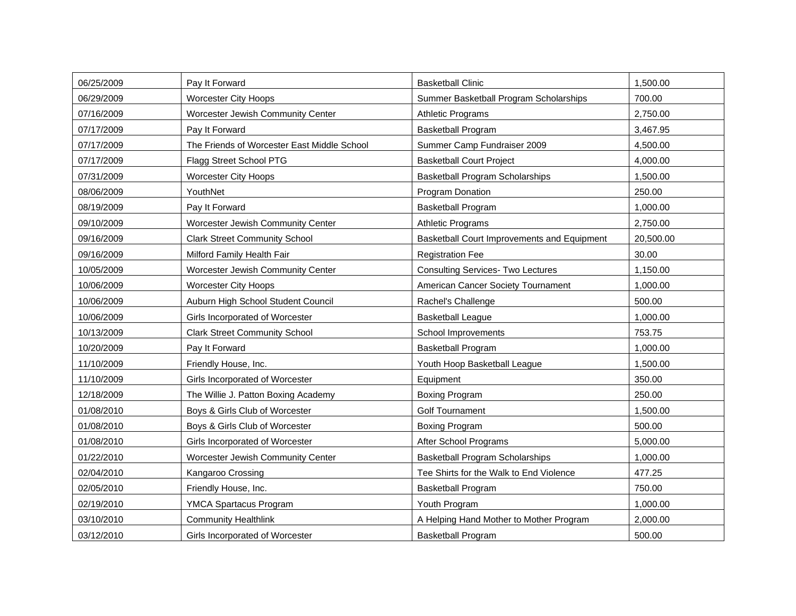| 06/25/2009 | Pay It Forward                              | <b>Basketball Clinic</b>                    | 1,500.00  |
|------------|---------------------------------------------|---------------------------------------------|-----------|
| 06/29/2009 | <b>Worcester City Hoops</b>                 | Summer Basketball Program Scholarships      | 700.00    |
| 07/16/2009 | Worcester Jewish Community Center           | <b>Athletic Programs</b>                    | 2,750.00  |
| 07/17/2009 | Pay It Forward                              | <b>Basketball Program</b>                   | 3,467.95  |
| 07/17/2009 | The Friends of Worcester East Middle School | Summer Camp Fundraiser 2009                 | 4,500.00  |
| 07/17/2009 | Flagg Street School PTG                     | <b>Basketball Court Project</b>             | 4,000.00  |
| 07/31/2009 | <b>Worcester City Hoops</b>                 | <b>Basketball Program Scholarships</b>      | 1,500.00  |
| 08/06/2009 | YouthNet                                    | Program Donation                            | 250.00    |
| 08/19/2009 | Pay It Forward                              | <b>Basketball Program</b>                   | 1,000.00  |
| 09/10/2009 | Worcester Jewish Community Center           | <b>Athletic Programs</b>                    | 2,750.00  |
| 09/16/2009 | <b>Clark Street Community School</b>        | Basketball Court Improvements and Equipment | 20,500.00 |
| 09/16/2009 | Milford Family Health Fair                  | <b>Registration Fee</b>                     | 30.00     |
| 10/05/2009 | Worcester Jewish Community Center           | <b>Consulting Services- Two Lectures</b>    | 1,150.00  |
| 10/06/2009 | <b>Worcester City Hoops</b>                 | American Cancer Society Tournament          | 1,000.00  |
| 10/06/2009 | Auburn High School Student Council          | Rachel's Challenge                          | 500.00    |
| 10/06/2009 | Girls Incorporated of Worcester             | <b>Basketball League</b>                    | 1,000.00  |
| 10/13/2009 | <b>Clark Street Community School</b>        | School Improvements                         | 753.75    |
| 10/20/2009 | Pay It Forward                              | <b>Basketball Program</b>                   | 1,000.00  |
| 11/10/2009 | Friendly House, Inc.                        | Youth Hoop Basketball League                | 1,500.00  |
| 11/10/2009 | Girls Incorporated of Worcester             | Equipment                                   | 350.00    |
| 12/18/2009 | The Willie J. Patton Boxing Academy         | <b>Boxing Program</b>                       | 250.00    |
| 01/08/2010 | Boys & Girls Club of Worcester              | <b>Golf Tournament</b>                      | 1,500.00  |
| 01/08/2010 | Boys & Girls Club of Worcester              | <b>Boxing Program</b>                       | 500.00    |
| 01/08/2010 | Girls Incorporated of Worcester             | After School Programs                       | 5,000.00  |
| 01/22/2010 | Worcester Jewish Community Center           | <b>Basketball Program Scholarships</b>      | 1,000.00  |
| 02/04/2010 | Kangaroo Crossing                           | Tee Shirts for the Walk to End Violence     | 477.25    |
| 02/05/2010 | Friendly House, Inc.                        | <b>Basketball Program</b>                   | 750.00    |
| 02/19/2010 | <b>YMCA Spartacus Program</b>               | Youth Program                               | 1,000.00  |
| 03/10/2010 | <b>Community Healthlink</b>                 | A Helping Hand Mother to Mother Program     | 2,000.00  |
| 03/12/2010 | Girls Incorporated of Worcester             | <b>Basketball Program</b>                   | 500.00    |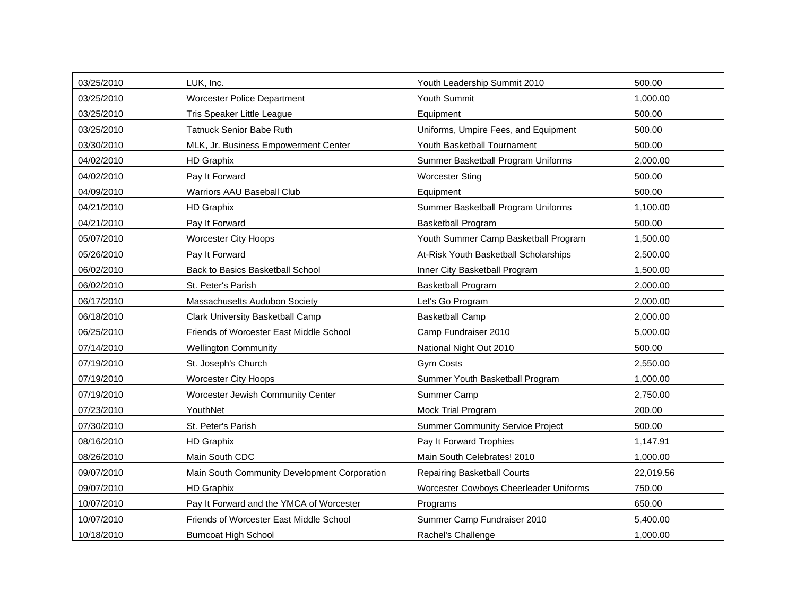| 03/25/2010 | LUK, Inc.                                    | Youth Leadership Summit 2010            | 500.00    |
|------------|----------------------------------------------|-----------------------------------------|-----------|
| 03/25/2010 | Worcester Police Department                  | Youth Summit                            | 1,000.00  |
| 03/25/2010 | Tris Speaker Little League                   | Equipment                               | 500.00    |
| 03/25/2010 | <b>Tatnuck Senior Babe Ruth</b>              | Uniforms, Umpire Fees, and Equipment    | 500.00    |
| 03/30/2010 | MLK, Jr. Business Empowerment Center         | Youth Basketball Tournament             | 500.00    |
| 04/02/2010 | <b>HD Graphix</b>                            | Summer Basketball Program Uniforms      | 2,000.00  |
| 04/02/2010 | Pay It Forward                               | <b>Worcester Sting</b>                  | 500.00    |
| 04/09/2010 | Warriors AAU Baseball Club                   | Equipment                               | 500.00    |
| 04/21/2010 | <b>HD Graphix</b>                            | Summer Basketball Program Uniforms      | 1,100.00  |
| 04/21/2010 | Pay It Forward                               | <b>Basketball Program</b>               | 500.00    |
| 05/07/2010 | <b>Worcester City Hoops</b>                  | Youth Summer Camp Basketball Program    | 1,500.00  |
| 05/26/2010 | Pay It Forward                               | At-Risk Youth Basketball Scholarships   | 2,500.00  |
| 06/02/2010 | Back to Basics Basketball School             | Inner City Basketball Program           | 1,500.00  |
| 06/02/2010 | St. Peter's Parish                           | <b>Basketball Program</b>               | 2,000.00  |
| 06/17/2010 | Massachusetts Audubon Society                | Let's Go Program                        | 2,000.00  |
| 06/18/2010 | <b>Clark University Basketball Camp</b>      | <b>Basketball Camp</b>                  | 2,000.00  |
| 06/25/2010 | Friends of Worcester East Middle School      | Camp Fundraiser 2010                    | 5,000.00  |
| 07/14/2010 | <b>Wellington Community</b>                  | National Night Out 2010                 | 500.00    |
| 07/19/2010 | St. Joseph's Church                          | <b>Gym Costs</b>                        | 2,550.00  |
| 07/19/2010 | <b>Worcester City Hoops</b>                  | Summer Youth Basketball Program         | 1,000.00  |
| 07/19/2010 | Worcester Jewish Community Center            | Summer Camp                             | 2,750.00  |
| 07/23/2010 | YouthNet                                     | Mock Trial Program                      | 200.00    |
| 07/30/2010 | St. Peter's Parish                           | <b>Summer Community Service Project</b> | 500.00    |
| 08/16/2010 | <b>HD Graphix</b>                            | Pay It Forward Trophies                 | 1,147.91  |
| 08/26/2010 | Main South CDC                               | Main South Celebrates! 2010             | 1,000.00  |
| 09/07/2010 | Main South Community Development Corporation | <b>Repairing Basketball Courts</b>      | 22,019.56 |
| 09/07/2010 | <b>HD Graphix</b>                            | Worcester Cowboys Cheerleader Uniforms  | 750.00    |
| 10/07/2010 | Pay It Forward and the YMCA of Worcester     | Programs                                | 650.00    |
| 10/07/2010 | Friends of Worcester East Middle School      | Summer Camp Fundraiser 2010             | 5,400.00  |
| 10/18/2010 | <b>Burncoat High School</b>                  | Rachel's Challenge                      | 1,000.00  |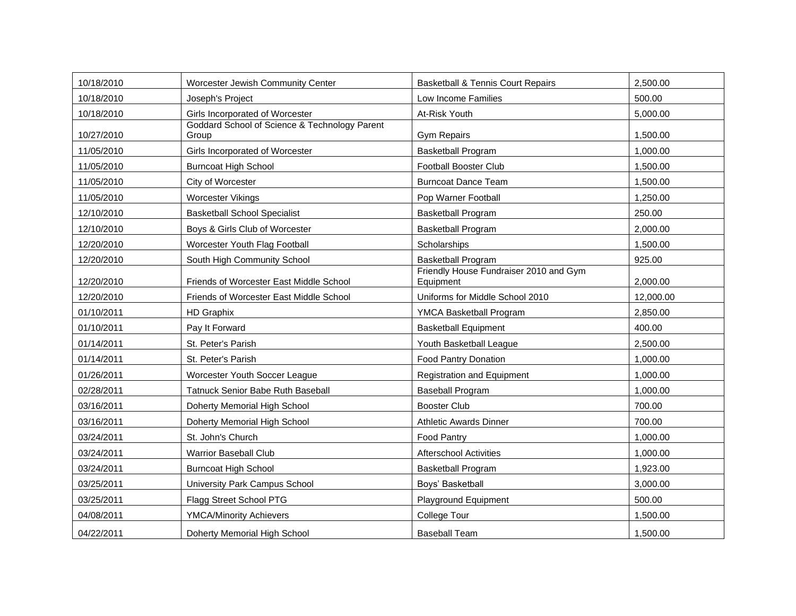| 10/18/2010 | Worcester Jewish Community Center                      | <b>Basketball &amp; Tennis Court Repairs</b>        | 2,500.00  |
|------------|--------------------------------------------------------|-----------------------------------------------------|-----------|
| 10/18/2010 | Joseph's Project                                       | Low Income Families                                 | 500.00    |
| 10/18/2010 | Girls Incorporated of Worcester                        | At-Risk Youth                                       | 5,000.00  |
| 10/27/2010 | Goddard School of Science & Technology Parent<br>Group | <b>Gym Repairs</b>                                  | 1,500.00  |
| 11/05/2010 | Girls Incorporated of Worcester                        | <b>Basketball Program</b>                           | 1,000.00  |
| 11/05/2010 | <b>Burncoat High School</b>                            | <b>Football Booster Club</b>                        | 1,500.00  |
| 11/05/2010 | City of Worcester                                      | <b>Burncoat Dance Team</b>                          | 1,500.00  |
| 11/05/2010 | Worcester Vikings                                      | Pop Warner Football                                 | 1,250.00  |
| 12/10/2010 | <b>Basketball School Specialist</b>                    | <b>Basketball Program</b>                           | 250.00    |
| 12/10/2010 | Boys & Girls Club of Worcester                         | <b>Basketball Program</b>                           | 2,000.00  |
| 12/20/2010 | Worcester Youth Flag Football                          | Scholarships                                        | 1,500.00  |
| 12/20/2010 | South High Community School                            | <b>Basketball Program</b>                           | 925.00    |
| 12/20/2010 | Friends of Worcester East Middle School                | Friendly House Fundraiser 2010 and Gym<br>Equipment | 2,000.00  |
| 12/20/2010 | Friends of Worcester East Middle School                | Uniforms for Middle School 2010                     | 12,000.00 |
| 01/10/2011 | <b>HD Graphix</b>                                      | YMCA Basketball Program                             | 2,850.00  |
| 01/10/2011 | Pay It Forward                                         | <b>Basketball Equipment</b>                         | 400.00    |
| 01/14/2011 | St. Peter's Parish                                     | Youth Basketball League                             | 2,500.00  |
| 01/14/2011 | St. Peter's Parish                                     | Food Pantry Donation                                | 1,000.00  |
| 01/26/2011 | Worcester Youth Soccer League                          | <b>Registration and Equipment</b>                   | 1,000.00  |
| 02/28/2011 | Tatnuck Senior Babe Ruth Baseball                      | <b>Baseball Program</b>                             | 1,000.00  |
| 03/16/2011 | Doherty Memorial High School                           | <b>Booster Club</b>                                 | 700.00    |
| 03/16/2011 | Doherty Memorial High School                           | <b>Athletic Awards Dinner</b>                       | 700.00    |
| 03/24/2011 | St. John's Church                                      | Food Pantry                                         | 1,000.00  |
| 03/24/2011 | <b>Warrior Baseball Club</b>                           | <b>Afterschool Activities</b>                       | 1.000.00  |
| 03/24/2011 | <b>Burncoat High School</b>                            | <b>Basketball Program</b>                           | 1,923.00  |
| 03/25/2011 | University Park Campus School                          | Boys' Basketball                                    | 3,000.00  |
| 03/25/2011 | Flagg Street School PTG                                | Playground Equipment                                | 500.00    |
| 04/08/2011 | <b>YMCA/Minority Achievers</b>                         | <b>College Tour</b>                                 | 1,500.00  |
| 04/22/2011 | Doherty Memorial High School                           | <b>Baseball Team</b>                                | 1,500.00  |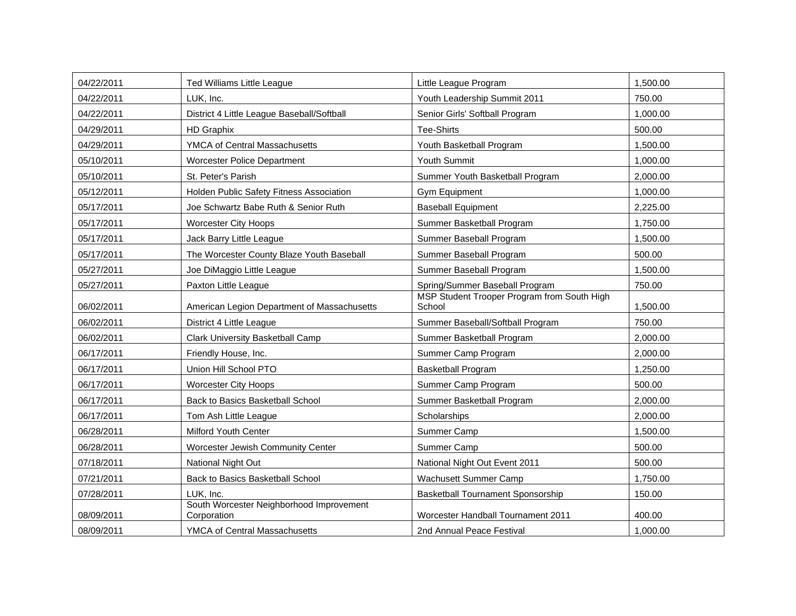| 04/22/2011 | <b>Ted Williams Little League</b>                       | Little League Program                                 | 1,500.00 |
|------------|---------------------------------------------------------|-------------------------------------------------------|----------|
| 04/22/2011 | LUK, Inc.                                               | Youth Leadership Summit 2011                          | 750.00   |
| 04/22/2011 | District 4 Little League Baseball/Softball              | Senior Girls' Softball Program                        | 1,000.00 |
| 04/29/2011 | <b>HD Graphix</b>                                       | <b>Tee-Shirts</b>                                     | 500.00   |
| 04/29/2011 | YMCA of Central Massachusetts                           | Youth Basketball Program                              | 1,500.00 |
| 05/10/2011 | Worcester Police Department                             | Youth Summit                                          | 1,000.00 |
| 05/10/2011 | St. Peter's Parish                                      | Summer Youth Basketball Program                       | 2,000.00 |
| 05/12/2011 | Holden Public Safety Fitness Association                | Gym Equipment                                         | 1,000.00 |
| 05/17/2011 | Joe Schwartz Babe Ruth & Senior Ruth                    | <b>Baseball Equipment</b>                             | 2,225.00 |
| 05/17/2011 | <b>Worcester City Hoops</b>                             | Summer Basketball Program                             | 1,750.00 |
| 05/17/2011 | Jack Barry Little League                                | Summer Baseball Program                               | 1,500.00 |
| 05/17/2011 | The Worcester County Blaze Youth Baseball               | Summer Baseball Program                               | 500.00   |
| 05/27/2011 | Joe DiMaggio Little League                              | Summer Baseball Program                               | 1,500.00 |
| 05/27/2011 | Paxton Little League                                    | Spring/Summer Baseball Program                        | 750.00   |
| 06/02/2011 | American Legion Department of Massachusetts             | MSP Student Trooper Program from South High<br>School | 1,500.00 |
| 06/02/2011 | District 4 Little League                                | Summer Baseball/Softball Program                      | 750.00   |
| 06/02/2011 | Clark University Basketball Camp                        | Summer Basketball Program                             | 2,000.00 |
| 06/17/2011 | Friendly House, Inc.                                    | Summer Camp Program                                   | 2,000.00 |
| 06/17/2011 | Union Hill School PTO                                   | <b>Basketball Program</b>                             | 1,250.00 |
| 06/17/2011 | <b>Worcester City Hoops</b>                             | Summer Camp Program                                   | 500.00   |
| 06/17/2011 | Back to Basics Basketball School                        | Summer Basketball Program                             | 2,000.00 |
| 06/17/2011 | Tom Ash Little League                                   | Scholarships                                          | 2,000.00 |
| 06/28/2011 | Milford Youth Center                                    | Summer Camp                                           | 1,500.00 |
| 06/28/2011 | Worcester Jewish Community Center                       | Summer Camp                                           | 500.00   |
| 07/18/2011 | National Night Out                                      | National Night Out Event 2011                         | 500.00   |
| 07/21/2011 | Back to Basics Basketball School                        | Wachusett Summer Camp                                 | 1,750.00 |
| 07/28/2011 | LUK, Inc.                                               | Basketball Tournament Sponsorship                     | 150.00   |
| 08/09/2011 | South Worcester Neighborhood Improvement<br>Corporation | Worcester Handball Tournament 2011                    | 400.00   |
| 08/09/2011 | YMCA of Central Massachusetts                           | 2nd Annual Peace Festival                             | 1,000.00 |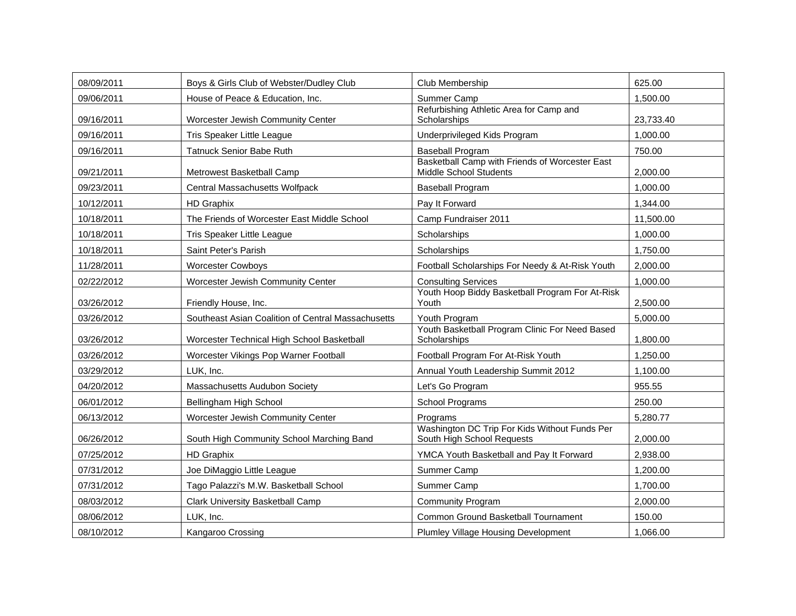| 08/09/2011 | Boys & Girls Club of Webster/Dudley Club           | Club Membership                                                             | 625.00    |
|------------|----------------------------------------------------|-----------------------------------------------------------------------------|-----------|
| 09/06/2011 | House of Peace & Education, Inc.                   | Summer Camp                                                                 | 1,500.00  |
| 09/16/2011 | Worcester Jewish Community Center                  | Refurbishing Athletic Area for Camp and<br>Scholarships                     | 23,733.40 |
| 09/16/2011 | Tris Speaker Little League                         | Underprivileged Kids Program                                                | 1,000.00  |
| 09/16/2011 | <b>Tatnuck Senior Babe Ruth</b>                    | <b>Baseball Program</b>                                                     | 750.00    |
| 09/21/2011 | Metrowest Basketball Camp                          | Basketball Camp with Friends of Worcester East<br>Middle School Students    | 2,000.00  |
| 09/23/2011 | Central Massachusetts Wolfpack                     | <b>Baseball Program</b>                                                     | 1,000.00  |
| 10/12/2011 | <b>HD Graphix</b>                                  | Pay It Forward                                                              | 1,344.00  |
| 10/18/2011 | The Friends of Worcester East Middle School        | Camp Fundraiser 2011                                                        | 11,500.00 |
| 10/18/2011 | Tris Speaker Little League                         | Scholarships                                                                | 1,000.00  |
| 10/18/2011 | Saint Peter's Parish                               | Scholarships                                                                | 1,750.00  |
| 11/28/2011 | <b>Worcester Cowboys</b>                           | Football Scholarships For Needy & At-Risk Youth                             | 2,000.00  |
| 02/22/2012 | Worcester Jewish Community Center                  | <b>Consulting Services</b>                                                  | 1,000.00  |
| 03/26/2012 | Friendly House, Inc.                               | Youth Hoop Biddy Basketball Program For At-Risk<br>Youth                    | 2,500.00  |
| 03/26/2012 | Southeast Asian Coalition of Central Massachusetts | Youth Program                                                               | 5,000.00  |
| 03/26/2012 | Worcester Technical High School Basketball         | Youth Basketball Program Clinic For Need Based<br>Scholarships              | 1.800.00  |
| 03/26/2012 | Worcester Vikings Pop Warner Football              | Football Program For At-Risk Youth                                          | 1,250.00  |
| 03/29/2012 | LUK, Inc.                                          | Annual Youth Leadership Summit 2012                                         | 1,100.00  |
| 04/20/2012 | Massachusetts Audubon Society                      | Let's Go Program                                                            | 955.55    |
| 06/01/2012 | Bellingham High School                             | School Programs                                                             | 250.00    |
| 06/13/2012 | Worcester Jewish Community Center                  | Programs                                                                    | 5,280.77  |
| 06/26/2012 | South High Community School Marching Band          | Washington DC Trip For Kids Without Funds Per<br>South High School Requests | 2,000.00  |
| 07/25/2012 | <b>HD Graphix</b>                                  | YMCA Youth Basketball and Pay It Forward                                    | 2,938.00  |
| 07/31/2012 | Joe DiMaggio Little League                         | Summer Camp                                                                 | 1,200.00  |
| 07/31/2012 | Tago Palazzi's M.W. Basketball School              | Summer Camp                                                                 | 1,700.00  |
| 08/03/2012 | Clark University Basketball Camp                   | <b>Community Program</b>                                                    | 2,000.00  |
| 08/06/2012 | LUK, Inc.                                          | Common Ground Basketball Tournament                                         | 150.00    |
| 08/10/2012 | Kangaroo Crossing                                  | <b>Plumley Village Housing Development</b>                                  | 1.066.00  |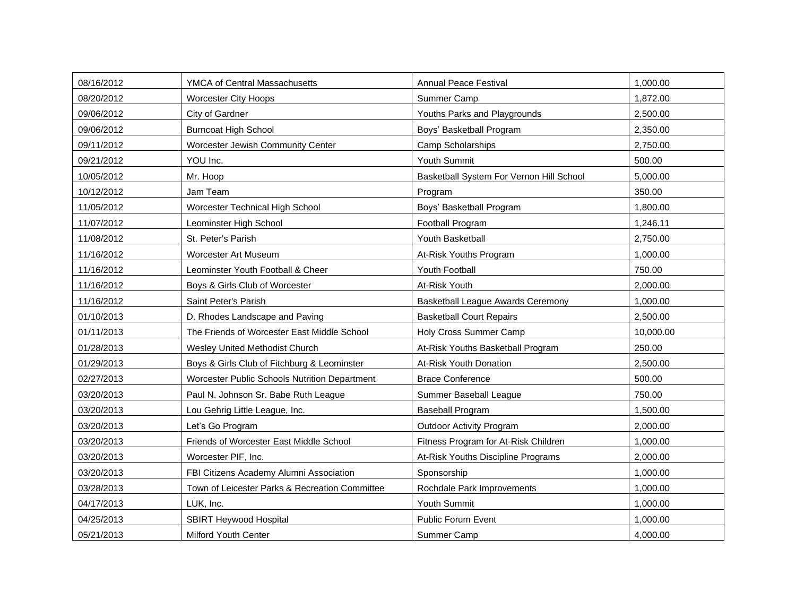| 08/16/2012 | YMCA of Central Massachusetts                  | <b>Annual Peace Festival</b>             | 1,000.00  |
|------------|------------------------------------------------|------------------------------------------|-----------|
| 08/20/2012 | <b>Worcester City Hoops</b>                    | Summer Camp                              | 1,872.00  |
| 09/06/2012 | City of Gardner                                | Youths Parks and Playgrounds             | 2,500.00  |
| 09/06/2012 | <b>Burncoat High School</b>                    | Boys' Basketball Program                 | 2,350.00  |
| 09/11/2012 | Worcester Jewish Community Center              | Camp Scholarships                        | 2,750.00  |
| 09/21/2012 | YOU Inc.                                       | Youth Summit                             | 500.00    |
| 10/05/2012 | Mr. Hoop                                       | Basketball System For Vernon Hill School | 5,000.00  |
| 10/12/2012 | Jam Team                                       | Program                                  | 350.00    |
| 11/05/2012 | Worcester Technical High School                | Boys' Basketball Program                 | 1,800.00  |
| 11/07/2012 | Leominster High School                         | Football Program                         | 1,246.11  |
| 11/08/2012 | St. Peter's Parish                             | Youth Basketball                         | 2,750.00  |
| 11/16/2012 | Worcester Art Museum                           | At-Risk Youths Program                   | 1,000.00  |
| 11/16/2012 | Leominster Youth Football & Cheer              | Youth Football                           | 750.00    |
| 11/16/2012 | Boys & Girls Club of Worcester                 | At-Risk Youth                            | 2,000.00  |
| 11/16/2012 | Saint Peter's Parish                           | <b>Basketball League Awards Ceremony</b> | 1,000.00  |
| 01/10/2013 | D. Rhodes Landscape and Paving                 | <b>Basketball Court Repairs</b>          | 2,500.00  |
| 01/11/2013 | The Friends of Worcester East Middle School    | Holy Cross Summer Camp                   | 10,000.00 |
| 01/28/2013 | Wesley United Methodist Church                 | At-Risk Youths Basketball Program        | 250.00    |
| 01/29/2013 | Boys & Girls Club of Fitchburg & Leominster    | At-Risk Youth Donation                   | 2.500.00  |
| 02/27/2013 | Worcester Public Schools Nutrition Department  | <b>Brace Conference</b>                  | 500.00    |
| 03/20/2013 | Paul N. Johnson Sr. Babe Ruth League           | Summer Baseball League                   | 750.00    |
| 03/20/2013 | Lou Gehrig Little League, Inc.                 | <b>Baseball Program</b>                  | 1,500.00  |
| 03/20/2013 | Let's Go Program                               | <b>Outdoor Activity Program</b>          | 2,000.00  |
| 03/20/2013 | Friends of Worcester East Middle School        | Fitness Program for At-Risk Children     | 1,000.00  |
| 03/20/2013 | Worcester PIF, Inc.                            | At-Risk Youths Discipline Programs       | 2,000.00  |
| 03/20/2013 | FBI Citizens Academy Alumni Association        | Sponsorship                              | 1,000.00  |
| 03/28/2013 | Town of Leicester Parks & Recreation Committee | Rochdale Park Improvements               | 1,000.00  |
| 04/17/2013 | LUK, Inc.                                      | Youth Summit                             | 1,000.00  |
| 04/25/2013 | <b>SBIRT Heywood Hospital</b>                  | Public Forum Event                       | 1,000.00  |
| 05/21/2013 | <b>Milford Youth Center</b>                    | Summer Camp                              | 4,000.00  |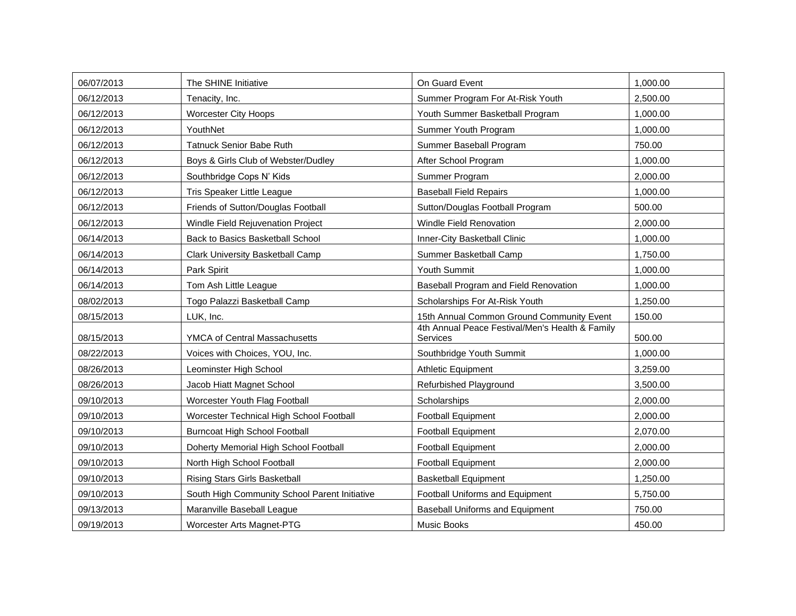| 06/07/2013 | The SHINE Initiative                          | On Guard Event                                              | 1,000.00 |
|------------|-----------------------------------------------|-------------------------------------------------------------|----------|
| 06/12/2013 | Tenacity, Inc.                                | Summer Program For At-Risk Youth                            | 2,500.00 |
| 06/12/2013 | <b>Worcester City Hoops</b>                   | Youth Summer Basketball Program                             | 1,000.00 |
| 06/12/2013 | YouthNet                                      | Summer Youth Program                                        | 1,000.00 |
| 06/12/2013 | <b>Tatnuck Senior Babe Ruth</b>               | Summer Baseball Program                                     | 750.00   |
| 06/12/2013 | Boys & Girls Club of Webster/Dudley           | After School Program                                        | 1.000.00 |
| 06/12/2013 | Southbridge Cops N' Kids                      | Summer Program                                              | 2,000.00 |
| 06/12/2013 | Tris Speaker Little League                    | <b>Baseball Field Repairs</b>                               | 1,000.00 |
| 06/12/2013 | Friends of Sutton/Douglas Football            | Sutton/Douglas Football Program                             | 500.00   |
| 06/12/2013 | Windle Field Rejuvenation Project             | Windle Field Renovation                                     | 2,000.00 |
| 06/14/2013 | Back to Basics Basketball School              | Inner-City Basketball Clinic                                | 1,000.00 |
| 06/14/2013 | Clark University Basketball Camp              | Summer Basketball Camp                                      | 1,750.00 |
| 06/14/2013 | Park Spirit                                   | Youth Summit                                                | 1,000.00 |
| 06/14/2013 | Tom Ash Little League                         | Baseball Program and Field Renovation                       | 1,000.00 |
| 08/02/2013 | Togo Palazzi Basketball Camp                  | Scholarships For At-Risk Youth                              | 1,250.00 |
| 08/15/2013 | LUK, Inc.                                     | 15th Annual Common Ground Community Event                   | 150.00   |
| 08/15/2013 | <b>YMCA of Central Massachusetts</b>          | 4th Annual Peace Festival/Men's Health & Family<br>Services | 500.00   |
| 08/22/2013 | Voices with Choices, YOU, Inc.                | Southbridge Youth Summit                                    | 1,000.00 |
| 08/26/2013 | Leominster High School                        | <b>Athletic Equipment</b>                                   | 3,259.00 |
| 08/26/2013 | Jacob Hiatt Magnet School                     | Refurbished Playground                                      | 3,500.00 |
| 09/10/2013 | Worcester Youth Flag Football                 | Scholarships                                                | 2,000.00 |
| 09/10/2013 | Worcester Technical High School Football      | <b>Football Equipment</b>                                   | 2,000.00 |
| 09/10/2013 | <b>Burncoat High School Football</b>          | <b>Football Equipment</b>                                   | 2,070.00 |
| 09/10/2013 | Doherty Memorial High School Football         | Football Equipment                                          | 2,000.00 |
| 09/10/2013 | North High School Football                    | <b>Football Equipment</b>                                   | 2,000.00 |
| 09/10/2013 | <b>Rising Stars Girls Basketball</b>          | <b>Basketball Equipment</b>                                 | 1,250.00 |
| 09/10/2013 | South High Community School Parent Initiative | Football Uniforms and Equipment                             | 5,750.00 |
| 09/13/2013 | Maranville Baseball League                    | <b>Baseball Uniforms and Equipment</b>                      | 750.00   |
| 09/19/2013 | Worcester Arts Magnet-PTG                     | Music Books                                                 | 450.00   |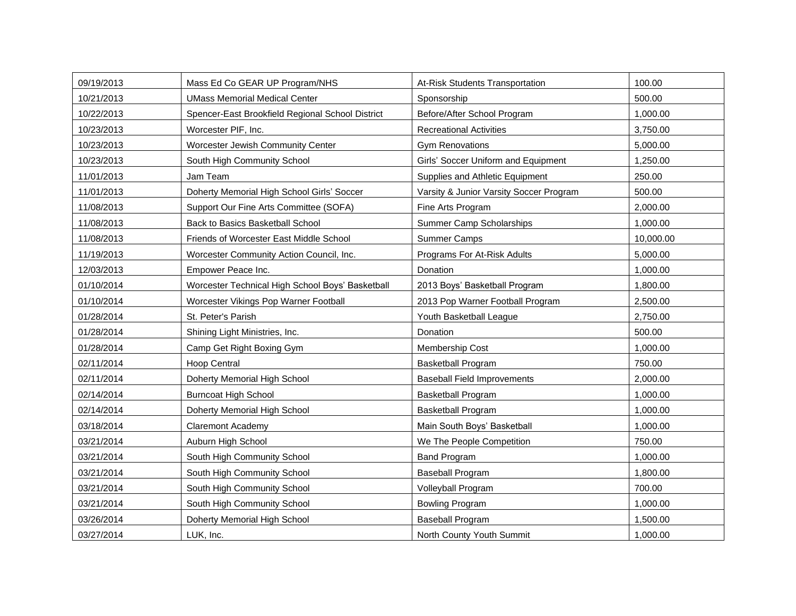| 09/19/2013 | Mass Ed Co GEAR UP Program/NHS                   | At-Risk Students Transportation         | 100.00    |
|------------|--------------------------------------------------|-----------------------------------------|-----------|
| 10/21/2013 | <b>UMass Memorial Medical Center</b>             | Sponsorship                             | 500.00    |
| 10/22/2013 | Spencer-East Brookfield Regional School District | Before/After School Program             | 1,000.00  |
| 10/23/2013 | Worcester PIF, Inc.                              | <b>Recreational Activities</b>          | 3,750.00  |
| 10/23/2013 | Worcester Jewish Community Center                | <b>Gym Renovations</b>                  | 5,000.00  |
| 10/23/2013 | South High Community School                      | Girls' Soccer Uniform and Equipment     | 1,250.00  |
| 11/01/2013 | Jam Team                                         | Supplies and Athletic Equipment         | 250.00    |
| 11/01/2013 | Doherty Memorial High School Girls' Soccer       | Varsity & Junior Varsity Soccer Program | 500.00    |
| 11/08/2013 | Support Our Fine Arts Committee (SOFA)           | Fine Arts Program                       | 2,000.00  |
| 11/08/2013 | Back to Basics Basketball School                 | <b>Summer Camp Scholarships</b>         | 1,000.00  |
| 11/08/2013 | Friends of Worcester East Middle School          | Summer Camps                            | 10,000.00 |
| 11/19/2013 | Worcester Community Action Council, Inc.         | Programs For At-Risk Adults             | 5,000.00  |
| 12/03/2013 | Empower Peace Inc.                               | Donation                                | 1,000.00  |
| 01/10/2014 | Worcester Technical High School Boys' Basketball | 2013 Boys' Basketball Program           | 1,800.00  |
| 01/10/2014 | Worcester Vikings Pop Warner Football            | 2013 Pop Warner Football Program        | 2,500.00  |
| 01/28/2014 | St. Peter's Parish                               | Youth Basketball League                 | 2,750.00  |
| 01/28/2014 | Shining Light Ministries, Inc.                   | Donation                                | 500.00    |
| 01/28/2014 | Camp Get Right Boxing Gym                        | Membership Cost                         | 1,000.00  |
| 02/11/2014 | <b>Hoop Central</b>                              | <b>Basketball Program</b>               | 750.00    |
| 02/11/2014 | Doherty Memorial High School                     | <b>Baseball Field Improvements</b>      | 2,000.00  |
| 02/14/2014 | <b>Burncoat High School</b>                      | <b>Basketball Program</b>               | 1,000.00  |
| 02/14/2014 | Doherty Memorial High School                     | <b>Basketball Program</b>               | 1,000.00  |
| 03/18/2014 | <b>Claremont Academy</b>                         | Main South Boys' Basketball             | 1,000.00  |
| 03/21/2014 | Auburn High School                               | We The People Competition               | 750.00    |
| 03/21/2014 | South High Community School                      | <b>Band Program</b>                     | 1,000.00  |
| 03/21/2014 | South High Community School                      | Baseball Program                        | 1,800.00  |
| 03/21/2014 | South High Community School                      | Volleyball Program                      | 700.00    |
| 03/21/2014 | South High Community School                      | <b>Bowling Program</b>                  | 1,000.00  |
| 03/26/2014 | Doherty Memorial High School                     | <b>Baseball Program</b>                 | 1,500.00  |
| 03/27/2014 | LUK, Inc.                                        | North County Youth Summit               | 1,000.00  |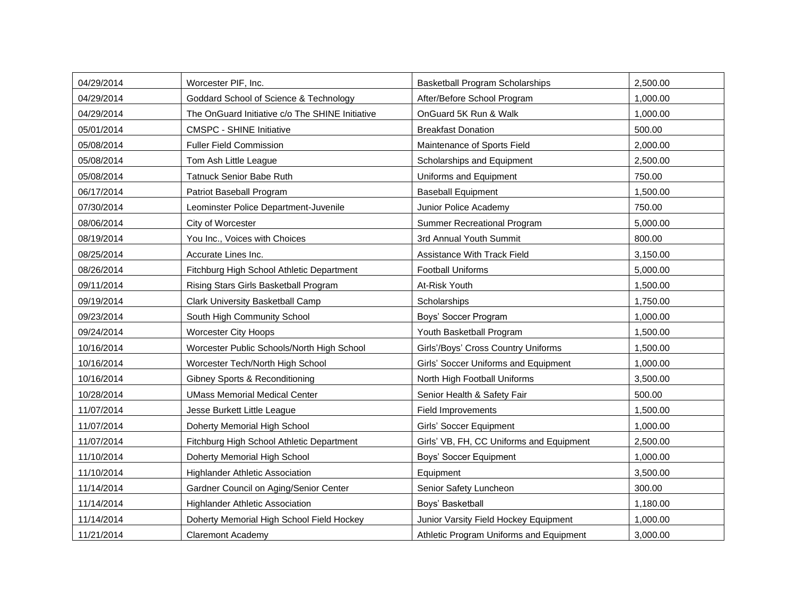| 04/29/2014 | Worcester PIF, Inc.                             | <b>Basketball Program Scholarships</b>   | 2,500.00 |
|------------|-------------------------------------------------|------------------------------------------|----------|
| 04/29/2014 | Goddard School of Science & Technology          | After/Before School Program              | 1,000.00 |
| 04/29/2014 | The OnGuard Initiative c/o The SHINE Initiative | OnGuard 5K Run & Walk                    | 1,000.00 |
| 05/01/2014 | <b>CMSPC - SHINE Initiative</b>                 | <b>Breakfast Donation</b>                | 500.00   |
| 05/08/2014 | <b>Fuller Field Commission</b>                  | Maintenance of Sports Field              | 2,000.00 |
| 05/08/2014 | Tom Ash Little League                           | Scholarships and Equipment               | 2,500.00 |
| 05/08/2014 | Tatnuck Senior Babe Ruth                        | Uniforms and Equipment                   | 750.00   |
| 06/17/2014 | Patriot Baseball Program                        | <b>Baseball Equipment</b>                | 1,500.00 |
| 07/30/2014 | Leominster Police Department-Juvenile           | Junior Police Academy                    | 750.00   |
| 08/06/2014 | City of Worcester                               | <b>Summer Recreational Program</b>       | 5,000.00 |
| 08/19/2014 | You Inc., Voices with Choices                   | 3rd Annual Youth Summit                  | 800.00   |
| 08/25/2014 | Accurate Lines Inc.                             | <b>Assistance With Track Field</b>       | 3,150.00 |
| 08/26/2014 | Fitchburg High School Athletic Department       | <b>Football Uniforms</b>                 | 5,000.00 |
| 09/11/2014 | Rising Stars Girls Basketball Program           | At-Risk Youth                            | 1,500.00 |
| 09/19/2014 | Clark University Basketball Camp                | Scholarships                             | 1,750.00 |
| 09/23/2014 | South High Community School                     | Boys' Soccer Program                     | 1,000.00 |
| 09/24/2014 | <b>Worcester City Hoops</b>                     | Youth Basketball Program                 | 1,500.00 |
| 10/16/2014 | Worcester Public Schools/North High School      | Girls'/Boys' Cross Country Uniforms      | 1,500.00 |
| 10/16/2014 | Worcester Tech/North High School                | Girls' Soccer Uniforms and Equipment     | 1,000.00 |
| 10/16/2014 | Gibney Sports & Reconditioning                  | North High Football Uniforms             | 3,500.00 |
| 10/28/2014 | <b>UMass Memorial Medical Center</b>            | Senior Health & Safety Fair              | 500.00   |
| 11/07/2014 | Jesse Burkett Little League                     | Field Improvements                       | 1,500.00 |
| 11/07/2014 | Doherty Memorial High School                    | Girls' Soccer Equipment                  | 1,000.00 |
| 11/07/2014 | Fitchburg High School Athletic Department       | Girls' VB, FH, CC Uniforms and Equipment | 2,500.00 |
| 11/10/2014 | Doherty Memorial High School                    | Boys' Soccer Equipment                   | 1,000.00 |
| 11/10/2014 | <b>Highlander Athletic Association</b>          | Equipment                                | 3,500.00 |
| 11/14/2014 | Gardner Council on Aging/Senior Center          | Senior Safety Luncheon                   | 300.00   |
| 11/14/2014 | <b>Highlander Athletic Association</b>          | Boys' Basketball                         | 1,180.00 |
| 11/14/2014 | Doherty Memorial High School Field Hockey       | Junior Varsity Field Hockey Equipment    | 1,000.00 |
| 11/21/2014 | Claremont Academy                               | Athletic Program Uniforms and Equipment  | 3,000.00 |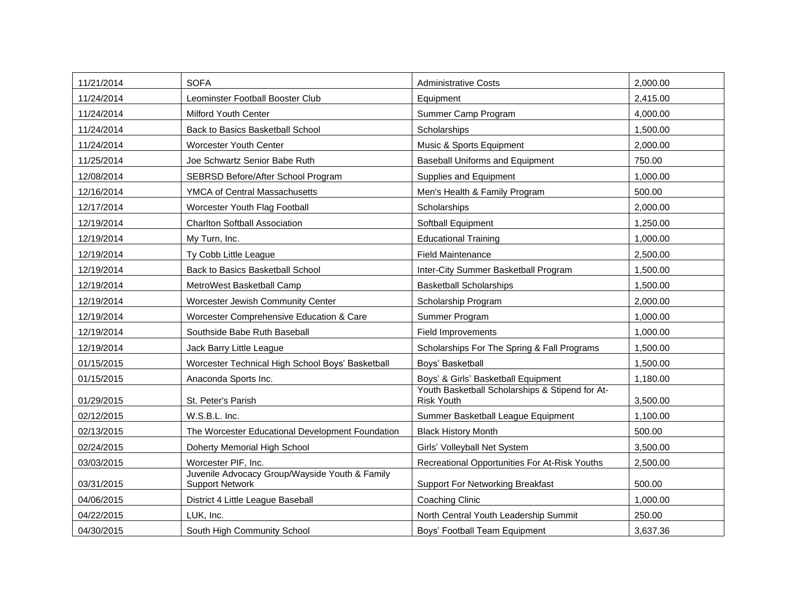| 11/21/2014 | <b>SOFA</b>                                                              | <b>Administrative Costs</b>                                          | 2,000.00 |
|------------|--------------------------------------------------------------------------|----------------------------------------------------------------------|----------|
| 11/24/2014 | Leominster Football Booster Club                                         | Equipment                                                            | 2,415.00 |
| 11/24/2014 | <b>Milford Youth Center</b>                                              | Summer Camp Program                                                  | 4,000.00 |
| 11/24/2014 | Back to Basics Basketball School                                         | Scholarships                                                         | 1,500.00 |
| 11/24/2014 | <b>Worcester Youth Center</b>                                            | Music & Sports Equipment                                             | 2,000.00 |
| 11/25/2014 | Joe Schwartz Senior Babe Ruth                                            | <b>Baseball Uniforms and Equipment</b>                               | 750.00   |
| 12/08/2014 | SEBRSD Before/After School Program                                       | Supplies and Equipment                                               | 1,000.00 |
| 12/16/2014 | YMCA of Central Massachusetts                                            | Men's Health & Family Program                                        | 500.00   |
| 12/17/2014 | Worcester Youth Flag Football                                            | Scholarships                                                         | 2,000.00 |
| 12/19/2014 | <b>Charlton Softball Association</b>                                     | Softball Equipment                                                   | 1,250.00 |
| 12/19/2014 | My Turn, Inc.                                                            | <b>Educational Training</b>                                          | 1,000.00 |
| 12/19/2014 | Ty Cobb Little League                                                    | <b>Field Maintenance</b>                                             | 2,500.00 |
| 12/19/2014 | Back to Basics Basketball School                                         | Inter-City Summer Basketball Program                                 | 1,500.00 |
| 12/19/2014 | MetroWest Basketball Camp                                                | <b>Basketball Scholarships</b>                                       | 1,500.00 |
| 12/19/2014 | Worcester Jewish Community Center                                        | Scholarship Program                                                  | 2,000.00 |
| 12/19/2014 | Worcester Comprehensive Education & Care                                 | Summer Program                                                       | 1,000.00 |
| 12/19/2014 | Southside Babe Ruth Baseball                                             | Field Improvements                                                   | 1,000.00 |
| 12/19/2014 | Jack Barry Little League                                                 | Scholarships For The Spring & Fall Programs                          | 1,500.00 |
| 01/15/2015 | Worcester Technical High School Boys' Basketball                         | Boys' Basketball                                                     | 1.500.00 |
| 01/15/2015 | Anaconda Sports Inc.                                                     | Boys' & Girls' Basketball Equipment                                  | 1.180.00 |
| 01/29/2015 | St. Peter's Parish                                                       | Youth Basketball Scholarships & Stipend for At-<br><b>Risk Youth</b> | 3,500.00 |
| 02/12/2015 | W.S.B.L. Inc.                                                            | Summer Basketball League Equipment                                   | 1,100.00 |
| 02/13/2015 | The Worcester Educational Development Foundation                         | <b>Black History Month</b>                                           | 500.00   |
| 02/24/2015 | Doherty Memorial High School                                             | Girls' Volleyball Net System                                         | 3.500.00 |
| 03/03/2015 | Worcester PIF, Inc.                                                      | Recreational Opportunities For At-Risk Youths                        | 2,500.00 |
| 03/31/2015 | Juvenile Advocacy Group/Wayside Youth & Family<br><b>Support Network</b> | <b>Support For Networking Breakfast</b>                              | 500.00   |
| 04/06/2015 | District 4 Little League Baseball                                        | Coaching Clinic                                                      | 1.000.00 |
| 04/22/2015 | LUK. Inc.                                                                | North Central Youth Leadership Summit                                | 250.00   |
| 04/30/2015 | South High Community School                                              | Boys' Football Team Equipment                                        | 3,637.36 |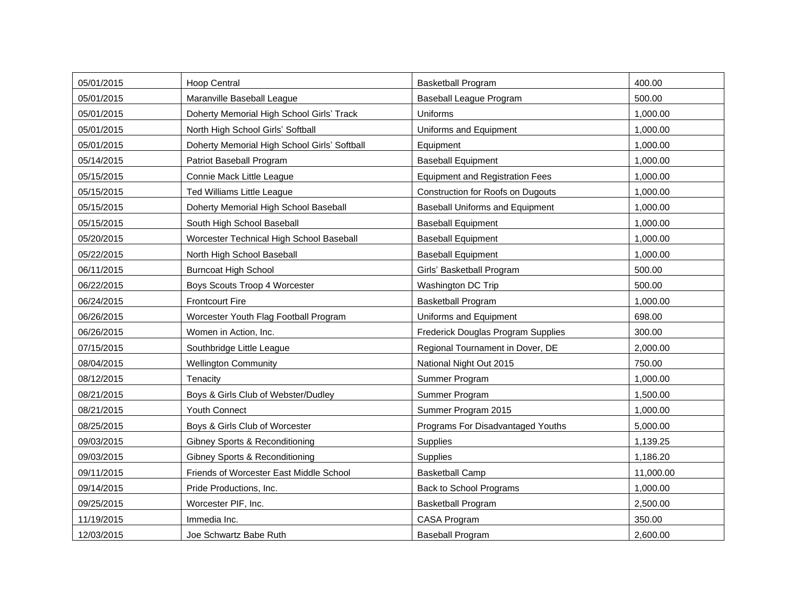| 05/01/2015 | Hoop Central                                 | <b>Basketball Program</b>              | 400.00    |
|------------|----------------------------------------------|----------------------------------------|-----------|
| 05/01/2015 | Maranville Baseball League                   | Baseball League Program                | 500.00    |
| 05/01/2015 | Doherty Memorial High School Girls' Track    | Uniforms                               | 1,000.00  |
| 05/01/2015 | North High School Girls' Softball            | Uniforms and Equipment                 | 1,000.00  |
| 05/01/2015 | Doherty Memorial High School Girls' Softball | Equipment                              | 1,000.00  |
| 05/14/2015 | Patriot Baseball Program                     | <b>Baseball Equipment</b>              | 1,000.00  |
| 05/15/2015 | Connie Mack Little League                    | <b>Equipment and Registration Fees</b> | 1,000.00  |
| 05/15/2015 | <b>Ted Williams Little League</b>            | Construction for Roofs on Dugouts      | 1,000.00  |
| 05/15/2015 | Doherty Memorial High School Baseball        | <b>Baseball Uniforms and Equipment</b> | 1,000.00  |
| 05/15/2015 | South High School Baseball                   | <b>Baseball Equipment</b>              | 1,000.00  |
| 05/20/2015 | Worcester Technical High School Baseball     | <b>Baseball Equipment</b>              | 1,000.00  |
| 05/22/2015 | North High School Baseball                   | <b>Baseball Equipment</b>              | 1,000.00  |
| 06/11/2015 | <b>Burncoat High School</b>                  | Girls' Basketball Program              | 500.00    |
| 06/22/2015 | Boys Scouts Troop 4 Worcester                | <b>Washington DC Trip</b>              | 500.00    |
| 06/24/2015 | <b>Frontcourt Fire</b>                       | <b>Basketball Program</b>              | 1,000.00  |
| 06/26/2015 | Worcester Youth Flag Football Program        | Uniforms and Equipment                 | 698.00    |
| 06/26/2015 | Women in Action, Inc.                        | Frederick Douglas Program Supplies     | 300.00    |
| 07/15/2015 | Southbridge Little League                    | Regional Tournament in Dover, DE       | 2,000.00  |
| 08/04/2015 | <b>Wellington Community</b>                  | National Night Out 2015                | 750.00    |
| 08/12/2015 | Tenacity                                     | Summer Program                         | 1,000.00  |
| 08/21/2015 | Boys & Girls Club of Webster/Dudley          | Summer Program                         | 1,500.00  |
| 08/21/2015 | <b>Youth Connect</b>                         | Summer Program 2015                    | 1,000.00  |
| 08/25/2015 | Boys & Girls Club of Worcester               | Programs For Disadvantaged Youths      | 5,000.00  |
| 09/03/2015 | <b>Gibney Sports &amp; Reconditioning</b>    | Supplies                               | 1,139.25  |
| 09/03/2015 | Gibney Sports & Reconditioning               | Supplies                               | 1.186.20  |
| 09/11/2015 | Friends of Worcester East Middle School      | <b>Basketball Camp</b>                 | 11,000.00 |
| 09/14/2015 | Pride Productions, Inc.                      | Back to School Programs                | 1,000.00  |
| 09/25/2015 | Worcester PIF, Inc.                          | <b>Basketball Program</b>              | 2,500.00  |
| 11/19/2015 | Immedia Inc.                                 | CASA Program                           | 350.00    |
| 12/03/2015 | Joe Schwartz Babe Ruth                       | <b>Baseball Program</b>                | 2,600.00  |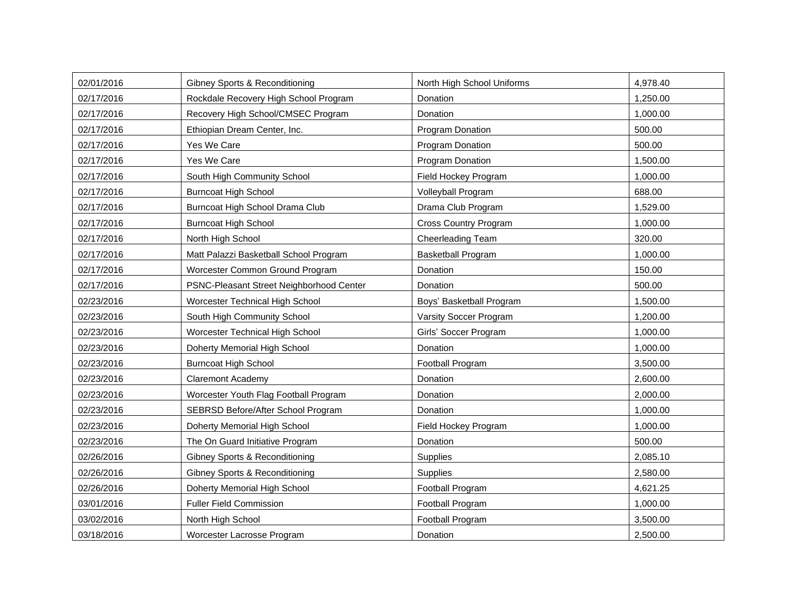| 02/01/2016 | <b>Gibney Sports &amp; Reconditioning</b> | North High School Uniforms   | 4,978.40 |
|------------|-------------------------------------------|------------------------------|----------|
| 02/17/2016 | Rockdale Recovery High School Program     | Donation                     | 1,250.00 |
| 02/17/2016 | Recovery High School/CMSEC Program        | Donation                     | 1,000.00 |
| 02/17/2016 | Ethiopian Dream Center, Inc.              | Program Donation             | 500.00   |
| 02/17/2016 | Yes We Care                               | Program Donation             | 500.00   |
| 02/17/2016 | Yes We Care                               | Program Donation             | 1,500.00 |
| 02/17/2016 | South High Community School               | Field Hockey Program         | 1,000.00 |
| 02/17/2016 | <b>Burncoat High School</b>               | Volleyball Program           | 688.00   |
| 02/17/2016 | Burncoat High School Drama Club           | Drama Club Program           | 1,529.00 |
| 02/17/2016 | <b>Burncoat High School</b>               | <b>Cross Country Program</b> | 1,000.00 |
| 02/17/2016 | North High School                         | Cheerleading Team            | 320.00   |
| 02/17/2016 | Matt Palazzi Basketball School Program    | <b>Basketball Program</b>    | 1,000.00 |
| 02/17/2016 | Worcester Common Ground Program           | Donation                     | 150.00   |
| 02/17/2016 | PSNC-Pleasant Street Neighborhood Center  | Donation                     | 500.00   |
| 02/23/2016 | Worcester Technical High School           | Boys' Basketball Program     | 1,500.00 |
| 02/23/2016 | South High Community School               | Varsity Soccer Program       | 1,200.00 |
| 02/23/2016 | Worcester Technical High School           | Girls' Soccer Program        | 1,000.00 |
| 02/23/2016 | Doherty Memorial High School              | Donation                     | 1,000.00 |
| 02/23/2016 | <b>Burncoat High School</b>               | Football Program             | 3,500.00 |
| 02/23/2016 | <b>Claremont Academy</b>                  | Donation                     | 2,600.00 |
| 02/23/2016 | Worcester Youth Flag Football Program     | Donation                     | 2,000.00 |
| 02/23/2016 | SEBRSD Before/After School Program        | Donation                     | 1,000.00 |
| 02/23/2016 | Doherty Memorial High School              | Field Hockey Program         | 1,000.00 |
| 02/23/2016 | The On Guard Initiative Program           | Donation                     | 500.00   |
| 02/26/2016 | <b>Gibney Sports &amp; Reconditioning</b> | Supplies                     | 2,085.10 |
| 02/26/2016 | Gibney Sports & Reconditioning            | Supplies                     | 2,580.00 |
| 02/26/2016 | Doherty Memorial High School              | Football Program             | 4,621.25 |
| 03/01/2016 | <b>Fuller Field Commission</b>            | Football Program             | 1,000.00 |
| 03/02/2016 | North High School                         | Football Program             | 3,500.00 |
| 03/18/2016 | Worcester Lacrosse Program                | Donation                     | 2,500.00 |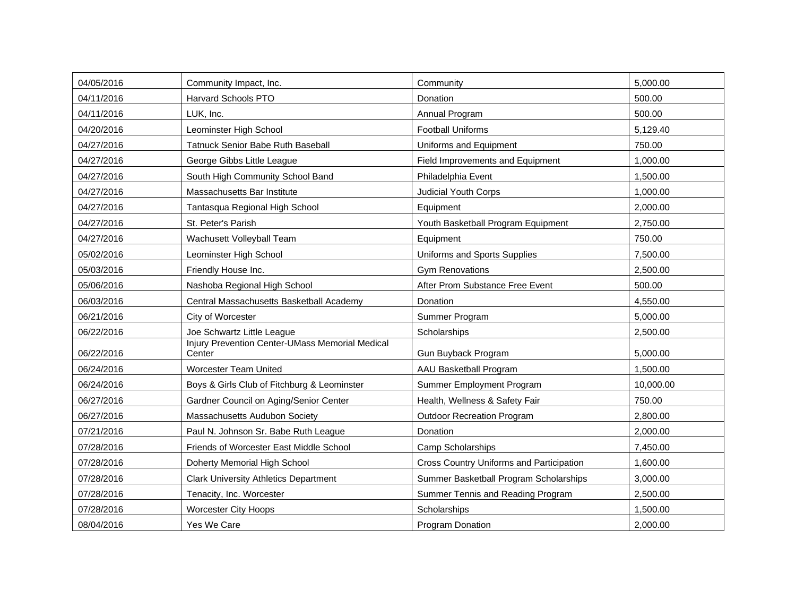| 04/05/2016 | Community Impact, Inc.                                           | Community                                | 5,000.00  |
|------------|------------------------------------------------------------------|------------------------------------------|-----------|
| 04/11/2016 | Harvard Schools PTO                                              | Donation                                 | 500.00    |
| 04/11/2016 | LUK, Inc.                                                        | Annual Program                           | 500.00    |
| 04/20/2016 | Leominster High School                                           | <b>Football Uniforms</b>                 | 5,129.40  |
| 04/27/2016 | Tatnuck Senior Babe Ruth Baseball                                | Uniforms and Equipment                   | 750.00    |
| 04/27/2016 | George Gibbs Little League                                       | Field Improvements and Equipment         | 1.000.00  |
| 04/27/2016 | South High Community School Band                                 | Philadelphia Event                       | 1,500.00  |
| 04/27/2016 | Massachusetts Bar Institute                                      | <b>Judicial Youth Corps</b>              | 1,000.00  |
| 04/27/2016 | Tantasqua Regional High School                                   | Equipment                                | 2,000.00  |
| 04/27/2016 | St. Peter's Parish                                               | Youth Basketball Program Equipment       | 2,750.00  |
| 04/27/2016 | Wachusett Volleyball Team                                        | Equipment                                | 750.00    |
| 05/02/2016 | Leominster High School                                           | Uniforms and Sports Supplies             | 7,500.00  |
| 05/03/2016 | Friendly House Inc.                                              | <b>Gym Renovations</b>                   | 2,500.00  |
| 05/06/2016 | Nashoba Regional High School                                     | After Prom Substance Free Event          | 500.00    |
| 06/03/2016 | Central Massachusetts Basketball Academy                         | Donation                                 | 4,550.00  |
| 06/21/2016 | City of Worcester                                                | Summer Program                           | 5,000.00  |
| 06/22/2016 | Joe Schwartz Little League                                       | Scholarships                             | 2,500.00  |
| 06/22/2016 | <b>Injury Prevention Center-UMass Memorial Medical</b><br>Center | Gun Buyback Program                      | 5,000.00  |
| 06/24/2016 | <b>Worcester Team United</b>                                     | AAU Basketball Program                   | 1.500.00  |
| 06/24/2016 | Boys & Girls Club of Fitchburg & Leominster                      | Summer Employment Program                | 10,000.00 |
| 06/27/2016 | Gardner Council on Aging/Senior Center                           | Health, Wellness & Safety Fair           | 750.00    |
| 06/27/2016 | Massachusetts Audubon Society                                    | <b>Outdoor Recreation Program</b>        | 2,800.00  |
| 07/21/2016 | Paul N. Johnson Sr. Babe Ruth League                             | Donation                                 | 2,000.00  |
| 07/28/2016 | Friends of Worcester East Middle School                          | Camp Scholarships                        | 7,450.00  |
| 07/28/2016 | Doherty Memorial High School                                     | Cross Country Uniforms and Participation | 1,600.00  |
| 07/28/2016 | <b>Clark University Athletics Department</b>                     | Summer Basketball Program Scholarships   | 3,000.00  |
| 07/28/2016 | Tenacity, Inc. Worcester                                         | Summer Tennis and Reading Program        | 2,500.00  |
| 07/28/2016 | Worcester City Hoops                                             | Scholarships                             | 1,500.00  |
| 08/04/2016 | Yes We Care                                                      | <b>Program Donation</b>                  | 2,000.00  |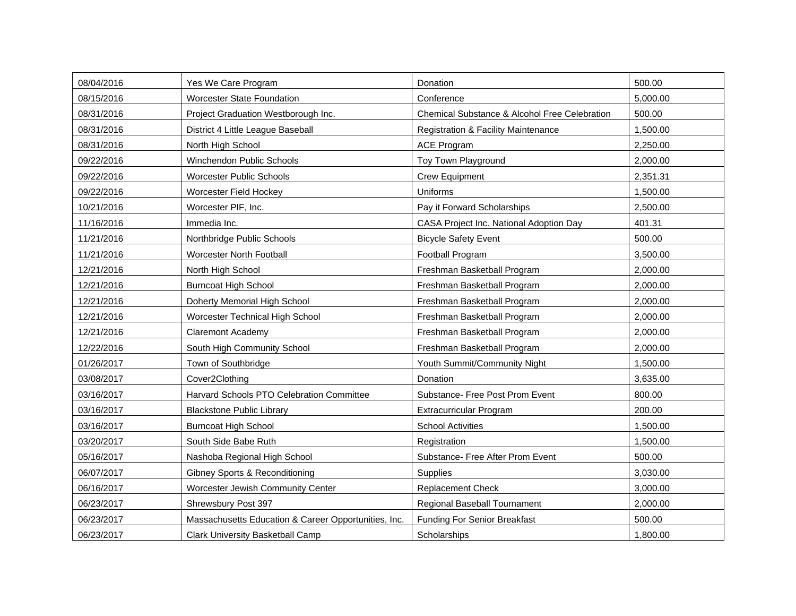| 08/04/2016 | Yes We Care Program                                  | Donation                                       | 500.00   |
|------------|------------------------------------------------------|------------------------------------------------|----------|
| 08/15/2016 | <b>Worcester State Foundation</b>                    | Conference                                     | 5,000.00 |
| 08/31/2016 | Project Graduation Westborough Inc.                  | Chemical Substance & Alcohol Free Celebration  | 500.00   |
| 08/31/2016 | District 4 Little League Baseball                    | <b>Registration &amp; Facility Maintenance</b> | 1,500.00 |
| 08/31/2016 | North High School                                    | <b>ACE Program</b>                             | 2,250.00 |
| 09/22/2016 | Winchendon Public Schools                            | Toy Town Playground                            | 2,000.00 |
| 09/22/2016 | <b>Worcester Public Schools</b>                      | <b>Crew Equipment</b>                          | 2,351.31 |
| 09/22/2016 | Worcester Field Hockey                               | Uniforms                                       | 1,500.00 |
| 10/21/2016 | Worcester PIF, Inc.                                  | Pay it Forward Scholarships                    | 2,500.00 |
| 11/16/2016 | Immedia Inc.                                         | CASA Project Inc. National Adoption Day        | 401.31   |
| 11/21/2016 | Northbridge Public Schools                           | <b>Bicycle Safety Event</b>                    | 500.00   |
| 11/21/2016 | Worcester North Football                             | Football Program                               | 3,500.00 |
| 12/21/2016 | North High School                                    | Freshman Basketball Program                    | 2,000.00 |
| 12/21/2016 | <b>Burncoat High School</b>                          | Freshman Basketball Program                    | 2,000.00 |
| 12/21/2016 | Doherty Memorial High School                         | Freshman Basketball Program                    | 2,000.00 |
| 12/21/2016 | Worcester Technical High School                      | Freshman Basketball Program                    | 2,000.00 |
| 12/21/2016 | <b>Claremont Academy</b>                             | Freshman Basketball Program                    | 2,000.00 |
| 12/22/2016 | South High Community School                          | Freshman Basketball Program                    | 2,000.00 |
| 01/26/2017 | Town of Southbridge                                  | Youth Summit/Community Night                   | 1,500.00 |
| 03/08/2017 | Cover2Clothing                                       | Donation                                       | 3,635.00 |
| 03/16/2017 | Harvard Schools PTO Celebration Committee            | Substance- Free Post Prom Event                | 800.00   |
| 03/16/2017 | <b>Blackstone Public Library</b>                     | Extracurricular Program                        | 200.00   |
| 03/16/2017 | <b>Burncoat High School</b>                          | <b>School Activities</b>                       | 1.500.00 |
| 03/20/2017 | South Side Babe Ruth                                 | Registration                                   | 1,500.00 |
| 05/16/2017 | Nashoba Regional High School                         | Substance- Free After Prom Event               | 500.00   |
| 06/07/2017 | <b>Gibney Sports &amp; Reconditioning</b>            | Supplies                                       | 3,030.00 |
| 06/16/2017 | Worcester Jewish Community Center                    | <b>Replacement Check</b>                       | 3,000.00 |
| 06/23/2017 | Shrewsbury Post 397                                  | Regional Baseball Tournament                   | 2,000.00 |
| 06/23/2017 | Massachusetts Education & Career Opportunities, Inc. | <b>Funding For Senior Breakfast</b>            | 500.00   |
| 06/23/2017 | Clark University Basketball Camp                     | Scholarships                                   | 1,800.00 |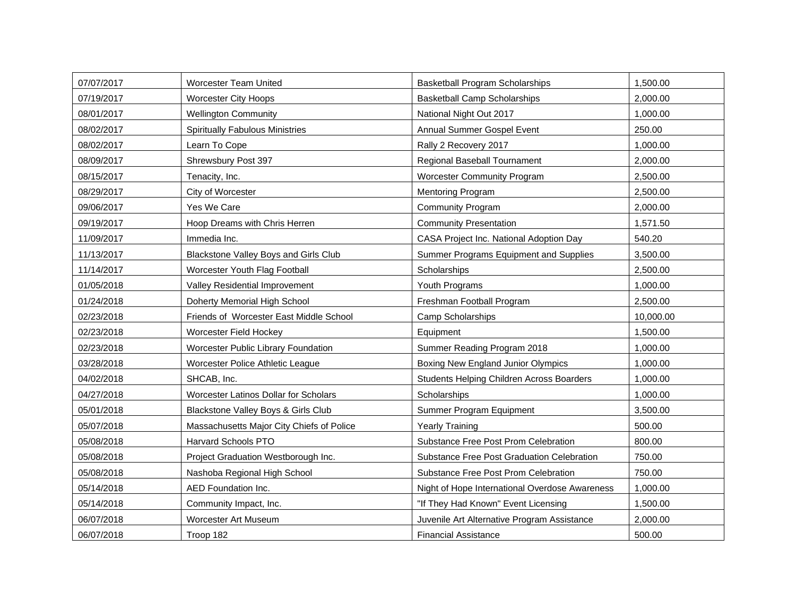| 07/07/2017 | <b>Worcester Team United</b>              | <b>Basketball Program Scholarships</b>         | 1,500.00  |
|------------|-------------------------------------------|------------------------------------------------|-----------|
| 07/19/2017 | <b>Worcester City Hoops</b>               | <b>Basketball Camp Scholarships</b>            | 2,000.00  |
| 08/01/2017 | <b>Wellington Community</b>               | National Night Out 2017                        | 1,000.00  |
| 08/02/2017 | <b>Spiritually Fabulous Ministries</b>    | Annual Summer Gospel Event                     | 250.00    |
| 08/02/2017 | Learn To Cope                             | Rally 2 Recovery 2017                          | 1,000.00  |
| 08/09/2017 | Shrewsbury Post 397                       | Regional Baseball Tournament                   | 2.000.00  |
| 08/15/2017 | Tenacity, Inc.                            | <b>Worcester Community Program</b>             | 2,500.00  |
| 08/29/2017 | City of Worcester                         | Mentoring Program                              | 2,500.00  |
| 09/06/2017 | Yes We Care                               | <b>Community Program</b>                       | 2,000.00  |
| 09/19/2017 | Hoop Dreams with Chris Herren             | <b>Community Presentation</b>                  | 1,571.50  |
| 11/09/2017 | Immedia Inc.                              | CASA Project Inc. National Adoption Day        | 540.20    |
| 11/13/2017 | Blackstone Valley Boys and Girls Club     | Summer Programs Equipment and Supplies         | 3,500.00  |
| 11/14/2017 | Worcester Youth Flag Football             | Scholarships                                   | 2,500.00  |
| 01/05/2018 | Valley Residential Improvement            | Youth Programs                                 | 1,000.00  |
| 01/24/2018 | Doherty Memorial High School              | Freshman Football Program                      | 2,500.00  |
| 02/23/2018 | Friends of Worcester East Middle School   | Camp Scholarships                              | 10,000.00 |
| 02/23/2018 | Worcester Field Hockey                    | Equipment                                      | 1,500.00  |
| 02/23/2018 | Worcester Public Library Foundation       | Summer Reading Program 2018                    | 1,000.00  |
| 03/28/2018 | Worcester Police Athletic League          | Boxing New England Junior Olympics             | 1,000.00  |
| 04/02/2018 | SHCAB, Inc.                               | Students Helping Children Across Boarders      | 1,000.00  |
| 04/27/2018 | Worcester Latinos Dollar for Scholars     | Scholarships                                   | 1,000.00  |
| 05/01/2018 | Blackstone Valley Boys & Girls Club       | Summer Program Equipment                       | 3,500.00  |
| 05/07/2018 | Massachusetts Major City Chiefs of Police | <b>Yearly Training</b>                         | 500.00    |
| 05/08/2018 | <b>Harvard Schools PTO</b>                | Substance Free Post Prom Celebration           | 800.00    |
| 05/08/2018 | Project Graduation Westborough Inc.       | Substance Free Post Graduation Celebration     | 750.00    |
| 05/08/2018 | Nashoba Regional High School              | Substance Free Post Prom Celebration           | 750.00    |
| 05/14/2018 | AED Foundation Inc.                       | Night of Hope International Overdose Awareness | 1,000.00  |
| 05/14/2018 | Community Impact, Inc.                    | "If They Had Known" Event Licensing            | 1,500.00  |
| 06/07/2018 | Worcester Art Museum                      | Juvenile Art Alternative Program Assistance    | 2,000.00  |
| 06/07/2018 | Troop 182                                 | <b>Financial Assistance</b>                    | 500.00    |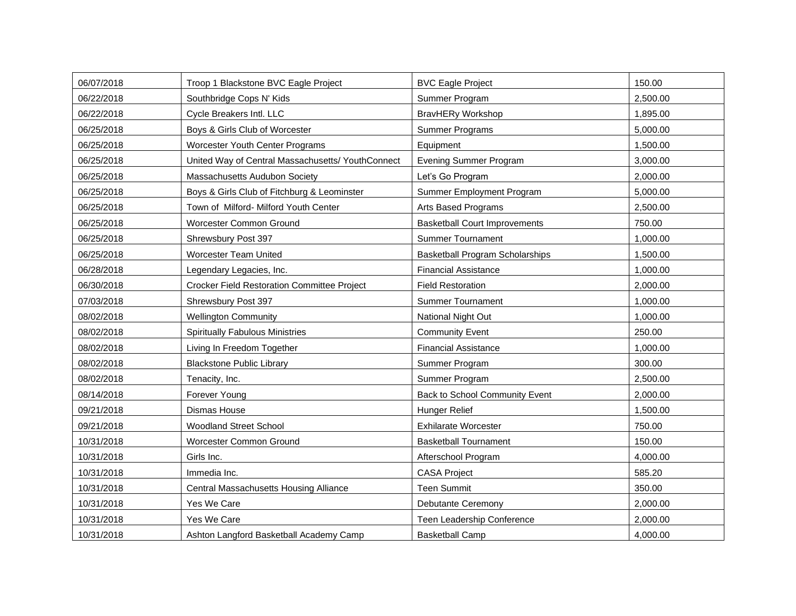| 06/07/2018 | Troop 1 Blackstone BVC Eagle Project               | <b>BVC Eagle Project</b>               | 150.00   |
|------------|----------------------------------------------------|----------------------------------------|----------|
| 06/22/2018 | Southbridge Cops N' Kids                           | Summer Program                         | 2,500.00 |
| 06/22/2018 | Cycle Breakers Intl. LLC                           | <b>BravHERy Workshop</b>               | 1,895.00 |
| 06/25/2018 | Boys & Girls Club of Worcester                     | Summer Programs                        | 5,000.00 |
| 06/25/2018 | <b>Worcester Youth Center Programs</b>             | Equipment                              | 1,500.00 |
| 06/25/2018 | United Way of Central Massachusetts/ YouthConnect  | <b>Evening Summer Program</b>          | 3,000.00 |
| 06/25/2018 | Massachusetts Audubon Society                      | Let's Go Program                       | 2,000.00 |
| 06/25/2018 | Boys & Girls Club of Fitchburg & Leominster        | Summer Employment Program              | 5,000.00 |
| 06/25/2018 | Town of Milford- Milford Youth Center              | Arts Based Programs                    | 2,500.00 |
| 06/25/2018 | Worcester Common Ground                            | <b>Basketball Court Improvements</b>   | 750.00   |
| 06/25/2018 | Shrewsbury Post 397                                | <b>Summer Tournament</b>               | 1,000.00 |
| 06/25/2018 | <b>Worcester Team United</b>                       | <b>Basketball Program Scholarships</b> | 1,500.00 |
| 06/28/2018 | Legendary Legacies, Inc.                           | <b>Financial Assistance</b>            | 1,000.00 |
| 06/30/2018 | <b>Crocker Field Restoration Committee Project</b> | <b>Field Restoration</b>               | 2,000.00 |
| 07/03/2018 | Shrewsbury Post 397                                | <b>Summer Tournament</b>               | 1,000.00 |
| 08/02/2018 | <b>Wellington Community</b>                        | National Night Out                     | 1,000.00 |
| 08/02/2018 | <b>Spiritually Fabulous Ministries</b>             | <b>Community Event</b>                 | 250.00   |
| 08/02/2018 | Living In Freedom Together                         | <b>Financial Assistance</b>            | 1,000.00 |
| 08/02/2018 | <b>Blackstone Public Library</b>                   | Summer Program                         | 300.00   |
| 08/02/2018 | Tenacity, Inc.                                     | Summer Program                         | 2,500.00 |
| 08/14/2018 | Forever Young                                      | Back to School Community Event         | 2,000.00 |
| 09/21/2018 | Dismas House                                       | Hunger Relief                          | 1,500.00 |
| 09/21/2018 | <b>Woodland Street School</b>                      | <b>Exhilarate Worcester</b>            | 750.00   |
| 10/31/2018 | Worcester Common Ground                            | <b>Basketball Tournament</b>           | 150.00   |
| 10/31/2018 | Girls Inc.                                         | Afterschool Program                    | 4,000.00 |
| 10/31/2018 | Immedia Inc.                                       | <b>CASA Project</b>                    | 585.20   |
| 10/31/2018 | Central Massachusetts Housing Alliance             | <b>Teen Summit</b>                     | 350.00   |
| 10/31/2018 | Yes We Care                                        | Debutante Ceremony                     | 2,000.00 |
| 10/31/2018 | Yes We Care                                        | Teen Leadership Conference             | 2,000.00 |
| 10/31/2018 | Ashton Langford Basketball Academy Camp            | <b>Basketball Camp</b>                 | 4,000.00 |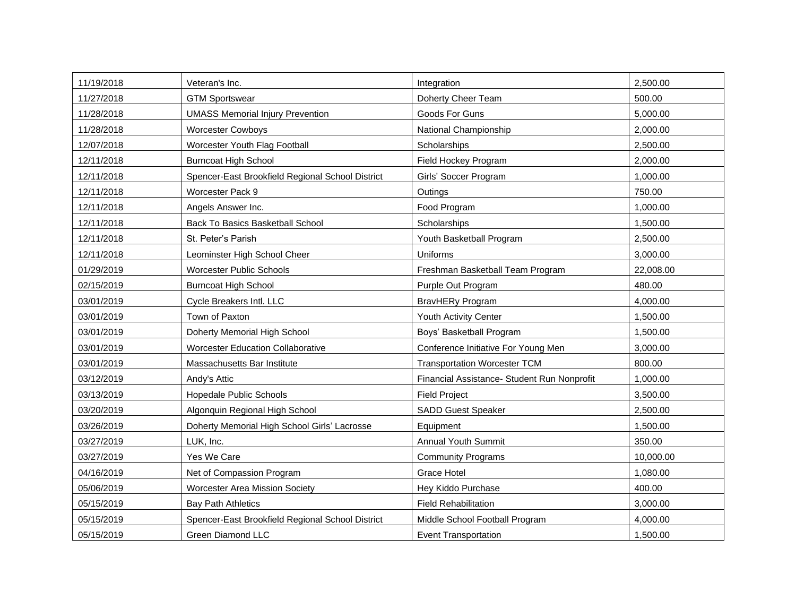| 11/19/2018 | Veteran's Inc.                                   | Integration                                 | 2,500.00  |
|------------|--------------------------------------------------|---------------------------------------------|-----------|
| 11/27/2018 | <b>GTM Sportswear</b>                            | Doherty Cheer Team                          | 500.00    |
| 11/28/2018 | <b>UMASS Memorial Injury Prevention</b>          | Goods For Guns                              | 5,000.00  |
| 11/28/2018 | <b>Worcester Cowboys</b>                         | National Championship                       | 2,000.00  |
| 12/07/2018 | Worcester Youth Flag Football                    | Scholarships                                | 2,500.00  |
| 12/11/2018 | <b>Burncoat High School</b>                      | Field Hockey Program                        | 2,000.00  |
| 12/11/2018 | Spencer-East Brookfield Regional School District | Girls' Soccer Program                       | 1,000.00  |
| 12/11/2018 | Worcester Pack 9                                 | Outings                                     | 750.00    |
| 12/11/2018 | Angels Answer Inc.                               | Food Program                                | 1,000.00  |
| 12/11/2018 | <b>Back To Basics Basketball School</b>          | Scholarships                                | 1,500.00  |
| 12/11/2018 | St. Peter's Parish                               | Youth Basketball Program                    | 2,500.00  |
| 12/11/2018 | Leominster High School Cheer                     | Uniforms                                    | 3,000.00  |
| 01/29/2019 | <b>Worcester Public Schools</b>                  | Freshman Basketball Team Program            | 22,008.00 |
| 02/15/2019 | <b>Burncoat High School</b>                      | Purple Out Program                          | 480.00    |
| 03/01/2019 | Cycle Breakers Intl. LLC                         | BravHERy Program                            | 4,000.00  |
| 03/01/2019 | Town of Paxton                                   | Youth Activity Center                       | 1,500.00  |
| 03/01/2019 | Doherty Memorial High School                     | Boys' Basketball Program                    | 1,500.00  |
| 03/01/2019 | <b>Worcester Education Collaborative</b>         | Conference Initiative For Young Men         | 3,000.00  |
| 03/01/2019 | Massachusetts Bar Institute                      | <b>Transportation Worcester TCM</b>         | 800.00    |
| 03/12/2019 | Andy's Attic                                     | Financial Assistance- Student Run Nonprofit | 1,000.00  |
| 03/13/2019 | Hopedale Public Schools                          | <b>Field Project</b>                        | 3,500.00  |
| 03/20/2019 | Algonquin Regional High School                   | <b>SADD Guest Speaker</b>                   | 2,500.00  |
| 03/26/2019 | Doherty Memorial High School Girls' Lacrosse     | Equipment                                   | 1,500.00  |
| 03/27/2019 | LUK, Inc.                                        | Annual Youth Summit                         | 350.00    |
| 03/27/2019 | Yes We Care                                      | <b>Community Programs</b>                   | 10,000.00 |
| 04/16/2019 | Net of Compassion Program                        | <b>Grace Hotel</b>                          | 1,080.00  |
| 05/06/2019 | <b>Worcester Area Mission Society</b>            | Hey Kiddo Purchase                          | 400.00    |
| 05/15/2019 | <b>Bay Path Athletics</b>                        | <b>Field Rehabilitation</b>                 | 3,000.00  |
| 05/15/2019 | Spencer-East Brookfield Regional School District | Middle School Football Program              | 4,000.00  |
| 05/15/2019 | <b>Green Diamond LLC</b>                         | <b>Event Transportation</b>                 | 1,500.00  |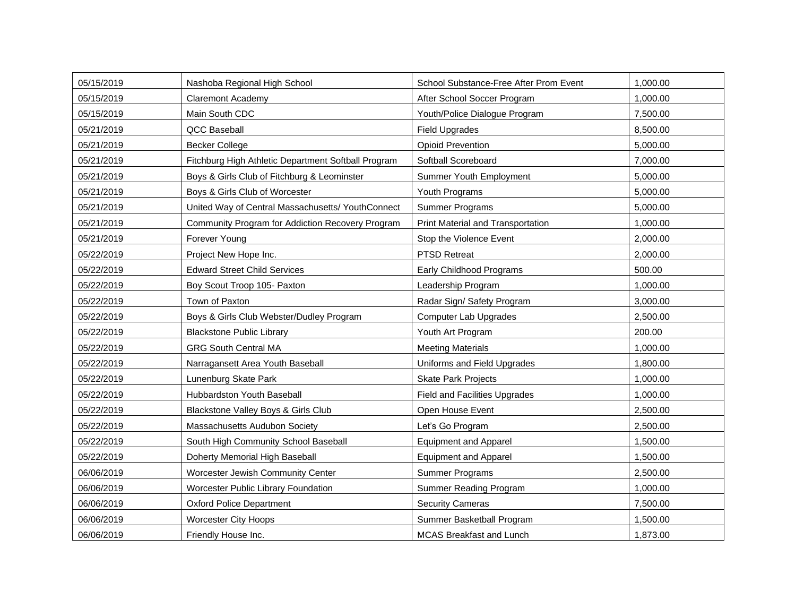| 05/15/2019 | Nashoba Regional High School                        | School Substance-Free After Prom Event | 1,000.00 |
|------------|-----------------------------------------------------|----------------------------------------|----------|
| 05/15/2019 | <b>Claremont Academy</b>                            | After School Soccer Program            | 1,000.00 |
| 05/15/2019 | Main South CDC                                      | Youth/Police Dialogue Program          | 7,500.00 |
| 05/21/2019 | <b>QCC Baseball</b>                                 | <b>Field Upgrades</b>                  | 8,500.00 |
| 05/21/2019 | <b>Becker College</b>                               | <b>Opioid Prevention</b>               | 5,000.00 |
| 05/21/2019 | Fitchburg High Athletic Department Softball Program | Softball Scoreboard                    | 7,000.00 |
| 05/21/2019 | Boys & Girls Club of Fitchburg & Leominster         | Summer Youth Employment                | 5,000.00 |
| 05/21/2019 | Boys & Girls Club of Worcester                      | Youth Programs                         | 5,000.00 |
| 05/21/2019 | United Way of Central Massachusetts/ YouthConnect   | <b>Summer Programs</b>                 | 5,000.00 |
| 05/21/2019 | Community Program for Addiction Recovery Program    | Print Material and Transportation      | 1,000.00 |
| 05/21/2019 | Forever Young                                       | Stop the Violence Event                | 2,000.00 |
| 05/22/2019 | Project New Hope Inc.                               | <b>PTSD Retreat</b>                    | 2,000.00 |
| 05/22/2019 | <b>Edward Street Child Services</b>                 | Early Childhood Programs               | 500.00   |
| 05/22/2019 | Boy Scout Troop 105- Paxton                         | Leadership Program                     | 1,000.00 |
| 05/22/2019 | Town of Paxton                                      | Radar Sign/ Safety Program             | 3,000.00 |
| 05/22/2019 | Boys & Girls Club Webster/Dudley Program            | <b>Computer Lab Upgrades</b>           | 2,500.00 |
| 05/22/2019 | <b>Blackstone Public Library</b>                    | Youth Art Program                      | 200.00   |
| 05/22/2019 | <b>GRG South Central MA</b>                         | <b>Meeting Materials</b>               | 1,000.00 |
| 05/22/2019 | Narragansett Area Youth Baseball                    | Uniforms and Field Upgrades            | 1,800.00 |
| 05/22/2019 | Lunenburg Skate Park                                | <b>Skate Park Projects</b>             | 1,000.00 |
| 05/22/2019 | Hubbardston Youth Baseball                          | <b>Field and Facilities Upgrades</b>   | 1,000.00 |
| 05/22/2019 | Blackstone Valley Boys & Girls Club                 | Open House Event                       | 2,500.00 |
| 05/22/2019 | Massachusetts Audubon Society                       | Let's Go Program                       | 2,500.00 |
| 05/22/2019 | South High Community School Baseball                | <b>Equipment and Apparel</b>           | 1,500.00 |
| 05/22/2019 | Doherty Memorial High Baseball                      | <b>Equipment and Apparel</b>           | 1,500.00 |
| 06/06/2019 | Worcester Jewish Community Center                   | Summer Programs                        | 2,500.00 |
| 06/06/2019 | Worcester Public Library Foundation                 | Summer Reading Program                 | 1,000.00 |
| 06/06/2019 | <b>Oxford Police Department</b>                     | <b>Security Cameras</b>                | 7,500.00 |
| 06/06/2019 | <b>Worcester City Hoops</b>                         | Summer Basketball Program              | 1,500.00 |
| 06/06/2019 | Friendly House Inc.                                 | <b>MCAS Breakfast and Lunch</b>        | 1,873.00 |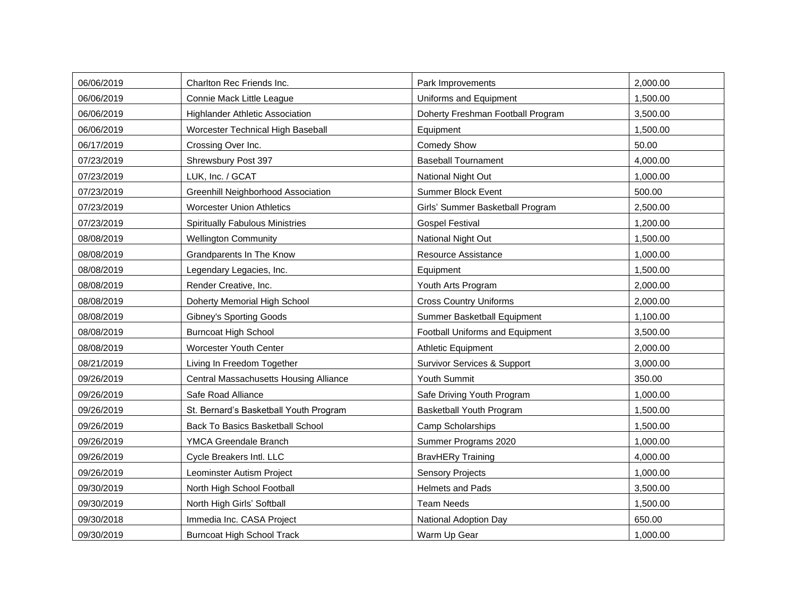| 06/06/2019 | Charlton Rec Friends Inc.              | Park Improvements                      | 2,000.00 |
|------------|----------------------------------------|----------------------------------------|----------|
| 06/06/2019 | Connie Mack Little League              | Uniforms and Equipment                 | 1,500.00 |
| 06/06/2019 | <b>Highlander Athletic Association</b> | Doherty Freshman Football Program      | 3,500.00 |
| 06/06/2019 | Worcester Technical High Baseball      | Equipment                              | 1,500.00 |
| 06/17/2019 | Crossing Over Inc.                     | <b>Comedy Show</b>                     | 50.00    |
| 07/23/2019 | Shrewsbury Post 397                    | <b>Baseball Tournament</b>             | 4,000.00 |
| 07/23/2019 | LUK, Inc. / GCAT                       | National Night Out                     | 1,000.00 |
| 07/23/2019 | Greenhill Neighborhood Association     | <b>Summer Block Event</b>              | 500.00   |
| 07/23/2019 | <b>Worcester Union Athletics</b>       | Girls' Summer Basketball Program       | 2,500.00 |
| 07/23/2019 | <b>Spiritually Fabulous Ministries</b> | <b>Gospel Festival</b>                 | 1,200.00 |
| 08/08/2019 | <b>Wellington Community</b>            | <b>National Night Out</b>              | 1,500.00 |
| 08/08/2019 | Grandparents In The Know               | <b>Resource Assistance</b>             | 1,000.00 |
| 08/08/2019 | Legendary Legacies, Inc.               | Equipment                              | 1,500.00 |
| 08/08/2019 | Render Creative, Inc.                  | Youth Arts Program                     | 2,000.00 |
| 08/08/2019 | Doherty Memorial High School           | <b>Cross Country Uniforms</b>          | 2,000.00 |
| 08/08/2019 | Gibney's Sporting Goods                | Summer Basketball Equipment            | 1,100.00 |
| 08/08/2019 | <b>Burncoat High School</b>            | Football Uniforms and Equipment        | 3,500.00 |
| 08/08/2019 | Worcester Youth Center                 | <b>Athletic Equipment</b>              | 2,000.00 |
| 08/21/2019 | Living In Freedom Together             | <b>Survivor Services &amp; Support</b> | 3,000.00 |
| 09/26/2019 | Central Massachusetts Housing Alliance | Youth Summit                           | 350.00   |
| 09/26/2019 | Safe Road Alliance                     | Safe Driving Youth Program             | 1,000.00 |
| 09/26/2019 | St. Bernard's Basketball Youth Program | Basketball Youth Program               | 1,500.00 |
| 09/26/2019 | Back To Basics Basketball School       | Camp Scholarships                      | 1,500.00 |
| 09/26/2019 | YMCA Greendale Branch                  | Summer Programs 2020                   | 1,000.00 |
| 09/26/2019 | Cycle Breakers Intl. LLC               | <b>BravHERy Training</b>               | 4,000.00 |
| 09/26/2019 | Leominster Autism Project              | <b>Sensory Projects</b>                | 1,000.00 |
| 09/30/2019 | North High School Football             | Helmets and Pads                       | 3,500.00 |
| 09/30/2019 | North High Girls' Softball             | <b>Team Needs</b>                      | 1,500.00 |
| 09/30/2018 | Immedia Inc. CASA Project              | National Adoption Day                  | 650.00   |
| 09/30/2019 | <b>Burncoat High School Track</b>      | Warm Up Gear                           | 1,000.00 |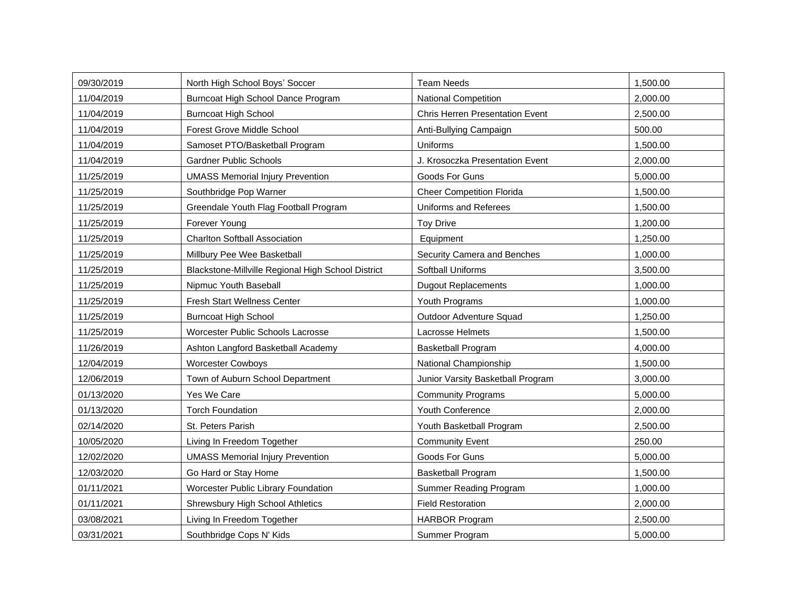| 09/30/2019 | North High School Boys' Soccer                     | <b>Team Needs</b>                      | 1,500.00 |
|------------|----------------------------------------------------|----------------------------------------|----------|
| 11/04/2019 | Burncoat High School Dance Program                 | <b>National Competition</b>            | 2,000.00 |
| 11/04/2019 | <b>Burncoat High School</b>                        | <b>Chris Herren Presentation Event</b> | 2,500.00 |
| 11/04/2019 | Forest Grove Middle School                         | Anti-Bullying Campaign                 | 500.00   |
| 11/04/2019 | Samoset PTO/Basketball Program                     | Uniforms                               | 1,500.00 |
| 11/04/2019 | <b>Gardner Public Schools</b>                      | J. Krosoczka Presentation Event        | 2,000.00 |
| 11/25/2019 | <b>UMASS Memorial Injury Prevention</b>            | Goods For Guns                         | 5,000.00 |
| 11/25/2019 | Southbridge Pop Warner                             | <b>Cheer Competition Florida</b>       | 1,500.00 |
| 11/25/2019 | Greendale Youth Flag Football Program              | Uniforms and Referees                  | 1,500.00 |
| 11/25/2019 | Forever Young                                      | <b>Toy Drive</b>                       | 1,200.00 |
| 11/25/2019 | <b>Charlton Softball Association</b>               | Equipment                              | 1,250.00 |
| 11/25/2019 | Millbury Pee Wee Basketball                        | Security Camera and Benches            | 1,000.00 |
| 11/25/2019 | Blackstone-Millville Regional High School District | Softball Uniforms                      | 3,500.00 |
| 11/25/2019 | Nipmuc Youth Baseball                              | <b>Dugout Replacements</b>             | 1,000.00 |
| 11/25/2019 | <b>Fresh Start Wellness Center</b>                 | Youth Programs                         | 1,000.00 |
| 11/25/2019 | <b>Burncoat High School</b>                        | Outdoor Adventure Squad                | 1,250.00 |
| 11/25/2019 | Worcester Public Schools Lacrosse                  | Lacrosse Helmets                       | 1,500.00 |
| 11/26/2019 | Ashton Langford Basketball Academy                 | <b>Basketball Program</b>              | 4,000.00 |
| 12/04/2019 | <b>Worcester Cowboys</b>                           | National Championship                  | 1,500.00 |
| 12/06/2019 | Town of Auburn School Department                   | Junior Varsity Basketball Program      | 3,000.00 |
| 01/13/2020 | Yes We Care                                        | <b>Community Programs</b>              | 5,000.00 |
| 01/13/2020 | <b>Torch Foundation</b>                            | Youth Conference                       | 2,000.00 |
| 02/14/2020 | St. Peters Parish                                  | Youth Basketball Program               | 2,500.00 |
| 10/05/2020 | Living In Freedom Together                         | <b>Community Event</b>                 | 250.00   |
| 12/02/2020 | <b>UMASS Memorial Injury Prevention</b>            | Goods For Guns                         | 5,000.00 |
| 12/03/2020 | Go Hard or Stay Home                               | <b>Basketball Program</b>              | 1,500.00 |
| 01/11/2021 | Worcester Public Library Foundation                | Summer Reading Program                 | 1,000.00 |
| 01/11/2021 | Shrewsbury High School Athletics                   | <b>Field Restoration</b>               | 2,000.00 |
| 03/08/2021 | Living In Freedom Together                         | <b>HARBOR Program</b>                  | 2,500.00 |
| 03/31/2021 | Southbridge Cops N' Kids                           | Summer Program                         | 5,000.00 |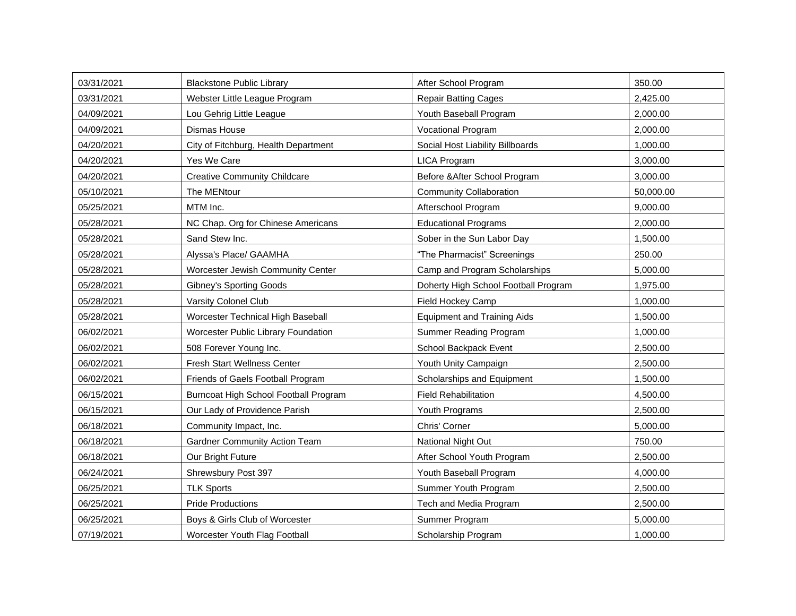| 03/31/2021 | <b>Blackstone Public Library</b>      | After School Program                 | 350.00    |
|------------|---------------------------------------|--------------------------------------|-----------|
| 03/31/2021 | Webster Little League Program         | <b>Repair Batting Cages</b>          | 2,425.00  |
| 04/09/2021 | Lou Gehrig Little League              | Youth Baseball Program               | 2,000.00  |
| 04/09/2021 | Dismas House                          | <b>Vocational Program</b>            | 2,000.00  |
| 04/20/2021 | City of Fitchburg, Health Department  | Social Host Liability Billboards     | 1,000.00  |
| 04/20/2021 | Yes We Care                           | <b>LICA Program</b>                  | 3,000.00  |
| 04/20/2021 | <b>Creative Community Childcare</b>   | Before & After School Program        | 3,000.00  |
| 05/10/2021 | The MENtour                           | <b>Community Collaboration</b>       | 50,000.00 |
| 05/25/2021 | MTM Inc.                              | Afterschool Program                  | 9,000.00  |
| 05/28/2021 | NC Chap. Org for Chinese Americans    | <b>Educational Programs</b>          | 2,000.00  |
| 05/28/2021 | Sand Stew Inc.                        | Sober in the Sun Labor Day           | 1,500.00  |
| 05/28/2021 | Alyssa's Place/ GAAMHA                | "The Pharmacist" Screenings          | 250.00    |
| 05/28/2021 | Worcester Jewish Community Center     | Camp and Program Scholarships        | 5,000.00  |
| 05/28/2021 | <b>Gibney's Sporting Goods</b>        | Doherty High School Football Program | 1,975.00  |
| 05/28/2021 | Varsity Colonel Club                  | Field Hockey Camp                    | 1,000.00  |
| 05/28/2021 | Worcester Technical High Baseball     | <b>Equipment and Training Aids</b>   | 1,500.00  |
| 06/02/2021 | Worcester Public Library Foundation   | Summer Reading Program               | 1,000.00  |
| 06/02/2021 | 508 Forever Young Inc.                | School Backpack Event                | 2,500.00  |
| 06/02/2021 | Fresh Start Wellness Center           | Youth Unity Campaign                 | 2,500.00  |
| 06/02/2021 | Friends of Gaels Football Program     | Scholarships and Equipment           | 1,500.00  |
| 06/15/2021 | Burncoat High School Football Program | <b>Field Rehabilitation</b>          | 4,500.00  |
| 06/15/2021 | Our Lady of Providence Parish         | Youth Programs                       | 2,500.00  |
| 06/18/2021 | Community Impact, Inc.                | Chris' Corner                        | 5,000.00  |
| 06/18/2021 | <b>Gardner Community Action Team</b>  | National Night Out                   | 750.00    |
| 06/18/2021 | Our Bright Future                     | After School Youth Program           | 2,500.00  |
| 06/24/2021 | Shrewsbury Post 397                   | Youth Baseball Program               | 4,000.00  |
| 06/25/2021 | <b>TLK Sports</b>                     | Summer Youth Program                 | 2,500.00  |
| 06/25/2021 | <b>Pride Productions</b>              | Tech and Media Program               | 2,500.00  |
| 06/25/2021 | Boys & Girls Club of Worcester        | Summer Program                       | 5,000.00  |
| 07/19/2021 | Worcester Youth Flag Football         | Scholarship Program                  | 1,000.00  |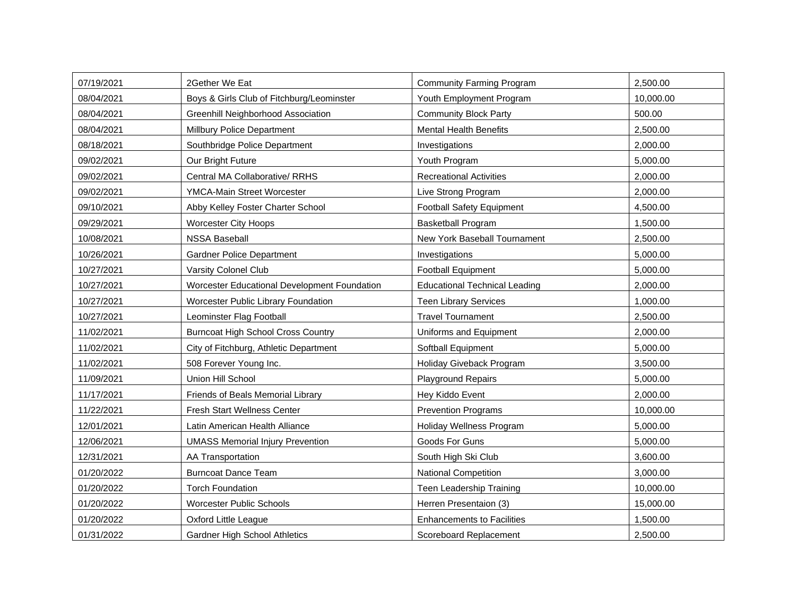| 07/19/2021 | 2Gether We Eat                               | <b>Community Farming Program</b>     | 2,500.00  |
|------------|----------------------------------------------|--------------------------------------|-----------|
| 08/04/2021 | Boys & Girls Club of Fitchburg/Leominster    | Youth Employment Program             | 10,000.00 |
| 08/04/2021 | Greenhill Neighborhood Association           | <b>Community Block Party</b>         | 500.00    |
| 08/04/2021 | Millbury Police Department                   | <b>Mental Health Benefits</b>        | 2,500.00  |
| 08/18/2021 | Southbridge Police Department                | Investigations                       | 2,000.00  |
| 09/02/2021 | Our Bright Future                            | Youth Program                        | 5,000.00  |
| 09/02/2021 | Central MA Collaborative/ RRHS               | <b>Recreational Activities</b>       | 2,000.00  |
| 09/02/2021 | <b>YMCA-Main Street Worcester</b>            | Live Strong Program                  | 2,000.00  |
| 09/10/2021 | Abby Kelley Foster Charter School            | <b>Football Safety Equipment</b>     | 4,500.00  |
| 09/29/2021 | <b>Worcester City Hoops</b>                  | <b>Basketball Program</b>            | 1,500.00  |
| 10/08/2021 | <b>NSSA Baseball</b>                         | New York Baseball Tournament         | 2,500.00  |
| 10/26/2021 | <b>Gardner Police Department</b>             | Investigations                       | 5,000.00  |
| 10/27/2021 | Varsity Colonel Club                         | <b>Football Equipment</b>            | 5,000.00  |
| 10/27/2021 | Worcester Educational Development Foundation | <b>Educational Technical Leading</b> | 2,000.00  |
| 10/27/2021 | Worcester Public Library Foundation          | <b>Teen Library Services</b>         | 1,000.00  |
| 10/27/2021 | Leominster Flag Football                     | <b>Travel Tournament</b>             | 2,500.00  |
| 11/02/2021 | <b>Burncoat High School Cross Country</b>    | Uniforms and Equipment               | 2,000.00  |
| 11/02/2021 | City of Fitchburg, Athletic Department       | Softball Equipment                   | 5,000.00  |
| 11/02/2021 | 508 Forever Young Inc.                       | Holiday Giveback Program             | 3,500.00  |
| 11/09/2021 | Union Hill School                            | <b>Playground Repairs</b>            | 5,000.00  |
| 11/17/2021 | Friends of Beals Memorial Library            | Hey Kiddo Event                      | 2,000.00  |
| 11/22/2021 | <b>Fresh Start Wellness Center</b>           | <b>Prevention Programs</b>           | 10,000.00 |
| 12/01/2021 | Latin American Health Alliance               | <b>Holiday Wellness Program</b>      | 5,000.00  |
| 12/06/2021 | <b>UMASS Memorial Injury Prevention</b>      | Goods For Guns                       | 5,000.00  |
| 12/31/2021 | AA Transportation                            | South High Ski Club                  | 3,600.00  |
| 01/20/2022 | <b>Burncoat Dance Team</b>                   | <b>National Competition</b>          | 3,000.00  |
| 01/20/2022 | <b>Torch Foundation</b>                      | Teen Leadership Training             | 10,000.00 |
| 01/20/2022 | <b>Worcester Public Schools</b>              | Herren Presentaion (3)               | 15,000.00 |
| 01/20/2022 | Oxford Little League                         | <b>Enhancements to Facilities</b>    | 1,500.00  |
| 01/31/2022 | <b>Gardner High School Athletics</b>         | Scoreboard Replacement               | 2,500.00  |